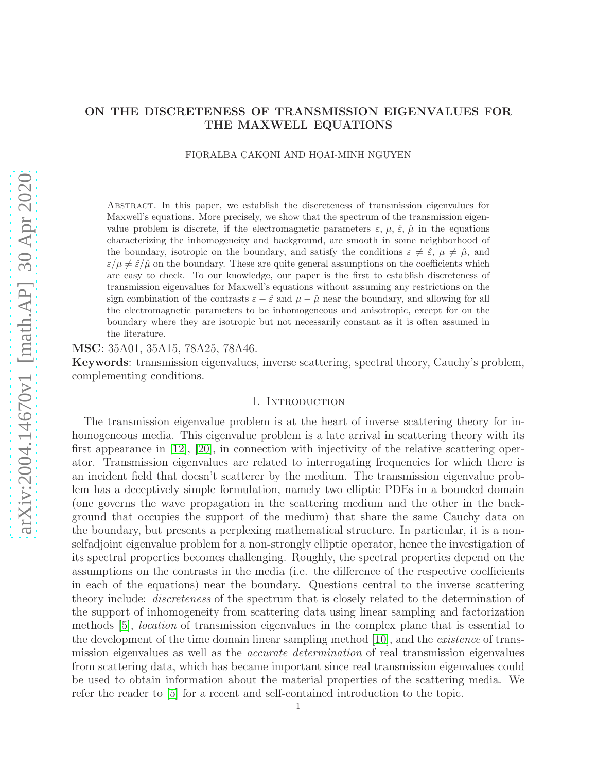# ON THE DISCRETENESS OF TRANSMISSION EIGENVALUES FOR THE MAXWELL EQUATIONS

FIORALBA CAKONI AND HOAI-MINH NGUYEN

Abstract. In this paper, we establish the discreteness of transmission eigenvalues for Maxwell's equations. More precisely, we show that the spectrum of the transmission eigenvalue problem is discrete, if the electromagnetic parameters  $\varepsilon$ ,  $\mu$ ,  $\hat{\varepsilon}$ ,  $\hat{\mu}$  in the equations characterizing the inhomogeneity and background, are smooth in some neighborhood of the boundary, isotropic on the boundary, and satisfy the conditions  $\varepsilon \neq \hat{\varepsilon}$ ,  $\mu \neq \hat{\mu}$ , and  $\varepsilon/\mu \neq \hat{\varepsilon}/\hat{\mu}$  on the boundary. These are quite general assumptions on the coefficients which are easy to check. To our knowledge, our paper is the first to establish discreteness of transmission eigenvalues for Maxwell's equations without assuming any restrictions on the sign combination of the contrasts  $\varepsilon - \hat{\varepsilon}$  and  $\mu - \hat{\mu}$  near the boundary, and allowing for all the electromagnetic parameters to be inhomogeneous and anisotropic, except for on the boundary where they are isotropic but not necessarily constant as it is often assumed in the literature.

MSC: 35A01, 35A15, 78A25, 78A46.

Keywords: transmission eigenvalues, inverse scattering, spectral theory, Cauchy's problem, complementing conditions.

# 1. INTRODUCTION

The transmission eigenvalue problem is at the heart of inverse scattering theory for inhomogeneous media. This eigenvalue problem is a late arrival in scattering theory with its first appearance in [\[12\]](#page-21-0), [\[20\]](#page-22-0), in connection with injectivity of the relative scattering operator. Transmission eigenvalues are related to interrogating frequencies for which there is an incident field that doesn't scatterer by the medium. The transmission eigenvalue problem has a deceptively simple formulation, namely two elliptic PDEs in a bounded domain (one governs the wave propagation in the scattering medium and the other in the background that occupies the support of the medium) that share the same Cauchy data on the boundary, but presents a perplexing mathematical structure. In particular, it is a nonselfadjoint eigenvalue problem for a non-strongly elliptic operator, hence the investigation of its spectral properties becomes challenging. Roughly, the spectral properties depend on the assumptions on the contrasts in the media (i.e. the difference of the respective coefficients in each of the equations) near the boundary. Questions central to the inverse scattering theory include: discreteness of the spectrum that is closely related to the determination of the support of inhomogeneity from scattering data using linear sampling and factorization methods [\[5\]](#page-21-1), location of transmission eigenvalues in the complex plane that is essential to the development of the time domain linear sampling method [\[10\]](#page-21-2), and the *existence* of transmission eigenvalues as well as the accurate determination of real transmission eigenvalues from scattering data, which has became important since real transmission eigenvalues could be used to obtain information about the material properties of the scattering media. We refer the reader to [\[5\]](#page-21-1) for a recent and self-contained introduction to the topic.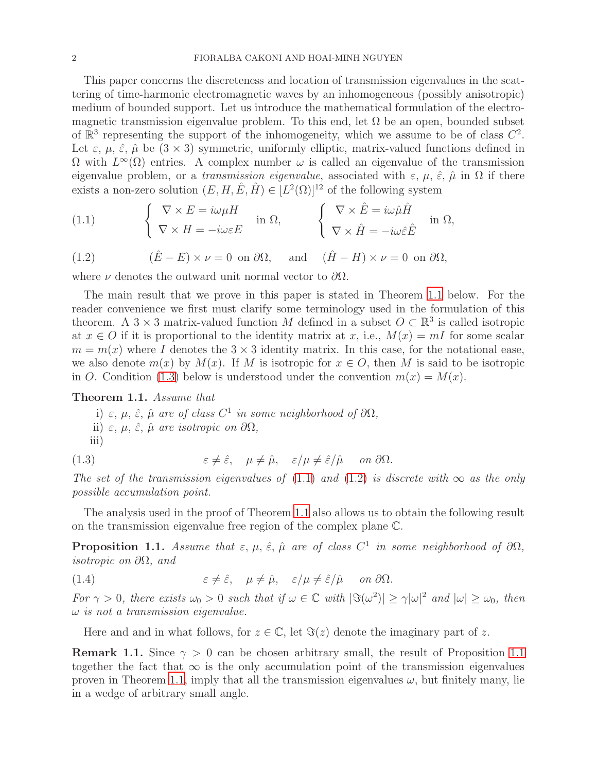This paper concerns the discreteness and location of transmission eigenvalues in the scattering of time-harmonic electromagnetic waves by an inhomogeneous (possibly anisotropic) medium of bounded support. Let us introduce the mathematical formulation of the electromagnetic transmission eigenvalue problem. To this end, let  $\Omega$  be an open, bounded subset of  $\mathbb{R}^3$  representing the support of the inhomogeneity, which we assume to be of class  $C^2$ . Let  $\varepsilon$ ,  $\mu$ ,  $\hat{\varepsilon}$ ,  $\hat{\mu}$  be  $(3 \times 3)$  symmetric, uniformly elliptic, matrix-valued functions defined in  $\Omega$  with  $L^{\infty}(\Omega)$  entries. A complex number  $\omega$  is called an eigenvalue of the transmission eigenvalue problem, or a *transmission eigenvalue*, associated with  $\varepsilon$ ,  $\mu$ ,  $\hat{\varepsilon}$ ,  $\hat{\mu}$  in  $\Omega$  if there exists a non-zero solution  $(E, H, \hat{E}, \hat{H}) \in [L^2(\Omega)]^{12}$  of the following system

<span id="page-1-2"></span>(1.1) 
$$
\begin{cases} \nabla \times E = i\omega\mu H \\ \nabla \times H = -i\omega\varepsilon E \end{cases} \text{ in } \Omega, \qquad \begin{cases} \nabla \times \hat{E} = i\omega\hat{\mu}\hat{H} \\ \nabla \times \hat{H} = -i\omega\hat{\varepsilon}\hat{E} \end{cases} \text{ in } \Omega,
$$

<span id="page-1-3"></span>(1.2) 
$$
(\hat{E} - E) \times \nu = 0
$$
 on  $\partial\Omega$ , and  $(\hat{H} - H) \times \nu = 0$  on  $\partial\Omega$ ,

where  $\nu$  denotes the outward unit normal vector to  $\partial\Omega$ .

The main result that we prove in this paper is stated in Theorem [1.1](#page-1-0) below. For the reader convenience we first must clarify some terminology used in the formulation of this theorem. A  $3 \times 3$  matrix-valued function M defined in a subset  $O \subset \mathbb{R}^3$  is called isotropic at  $x \in O$  if it is proportional to the identity matrix at x, i.e.,  $M(x) = mI$  for some scalar  $m = m(x)$  where I denotes the  $3 \times 3$  identity matrix. In this case, for the notational ease, we also denote  $m(x)$  by  $M(x)$ . If M is isotropic for  $x \in O$ , then M is said to be isotropic in O. Condition [\(1.3\)](#page-1-1) below is understood under the convention  $m(x) = M(x)$ .

### <span id="page-1-0"></span>Theorem 1.1. Assume that

<span id="page-1-1"></span>i)  $\varepsilon, \mu, \hat{\varepsilon}, \hat{\mu}$  are of class  $C^1$  in some neighborhood of  $\partial\Omega$ , ii)  $\varepsilon$ ,  $\mu$ ,  $\hat{\varepsilon}$ ,  $\hat{\mu}$  are isotropic on  $\partial\Omega$ , iii)

(1.3) 
$$
\varepsilon \neq \hat{\varepsilon}, \quad \mu \neq \hat{\mu}, \quad \varepsilon/\mu \neq \hat{\varepsilon}/\hat{\mu} \quad on \ \partial \Omega.
$$

The set of the transmission eigenvalues of [\(1.1\)](#page-1-2) and [\(1.2\)](#page-1-3) is discrete with  $\infty$  as the only possible accumulation point.

The analysis used in the proof of Theorem [1.1](#page-1-0) also allows us to obtain the following result on the transmission eigenvalue free region of the complex plane C.

<span id="page-1-4"></span>**Proposition 1.1.** Assume that  $\varepsilon, \mu, \hat{\varepsilon}, \hat{\mu}$  are of class  $C^1$  in some neighborhood of  $\partial\Omega$ , isotropic on ∂Ω, and

(1.4) 
$$
\varepsilon \neq \hat{\varepsilon}, \quad \mu \neq \hat{\mu}, \quad \varepsilon/\mu \neq \hat{\varepsilon}/\hat{\mu} \quad \text{ on } \partial\Omega.
$$

For  $\gamma > 0$ , there exists  $\omega_0 > 0$  such that if  $\omega \in \mathbb{C}$  with  $|\Im(\omega^2)| \ge \gamma |\omega|^2$  and  $|\omega| \ge \omega_0$ , then  $\omega$  is not a transmission eigenvalue.

Here and and in what follows, for  $z \in \mathbb{C}$ , let  $\Im(z)$  denote the imaginary part of z.

**Remark [1.1](#page-1-4).** Since  $\gamma > 0$  can be chosen arbitrary small, the result of Proposition 1.1 together the fact that  $\infty$  is the only accumulation point of the transmission eigenvalues proven in Theorem [1.1](#page-1-0), imply that all the transmission eigenvalues  $\omega$ , but finitely many, lie in a wedge of arbitrary small angle.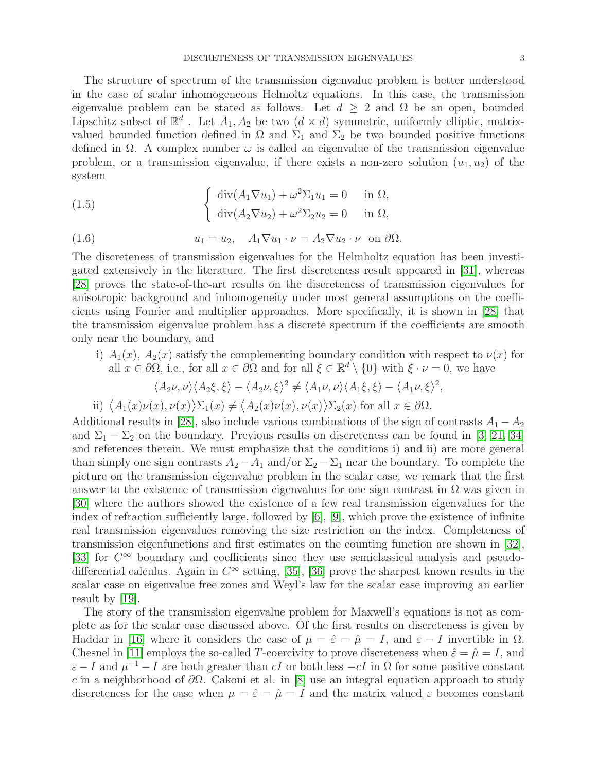The structure of spectrum of the transmission eigenvalue problem is better understood in the case of scalar inhomogeneous Helmoltz equations. In this case, the transmission eigenvalue problem can be stated as follows. Let  $d > 2$  and  $\Omega$  be an open, bounded Lipschitz subset of  $\mathbb{R}^d$ . Let  $A_1, A_2$  be two  $(d \times d)$  symmetric, uniformly elliptic, matrixvalued bounded function defined in  $\Omega$  and  $\Sigma_1$  and  $\Sigma_2$  be two bounded positive functions defined in  $\Omega$ . A complex number  $\omega$  is called an eigenvalue of the transmission eigenvalue problem, or a transmission eigenvalue, if there exists a non-zero solution  $(u_1, u_2)$  of the system

(1.5) 
$$
\begin{cases} \operatorname{div}(A_1 \nabla u_1) + \omega^2 \Sigma_1 u_1 = 0 & \text{in } \Omega, \\ \operatorname{div}(A_2 \nabla u_2) + \omega^2 \Sigma_2 u_2 = 0 & \text{in } \Omega, \end{cases}
$$

(1.6) 
$$
u_1 = u_2, \quad A_1 \nabla u_1 \cdot \nu = A_2 \nabla u_2 \cdot \nu \quad \text{on } \partial \Omega.
$$

The discreteness of transmission eigenvalues for the Helmholtz equation has been investigated extensively in the literature. The first discreteness result appeared in [\[31\]](#page-22-1), whereas [\[28\]](#page-22-2) proves the state-of-the-art results on the discreteness of transmission eigenvalues for anisotropic background and inhomogeneity under most general assumptions on the coefficients using Fourier and multiplier approaches. More specifically, it is shown in [\[28\]](#page-22-2) that the transmission eigenvalue problem has a discrete spectrum if the coefficients are smooth only near the boundary, and

i)  $A_1(x)$ ,  $A_2(x)$  satisfy the complementing boundary condition with respect to  $\nu(x)$  for all  $x \in \partial\Omega$ , i.e., for all  $x \in \partial\Omega$  and for all  $\xi \in \mathbb{R}^d \setminus \{0\}$  with  $\xi \cdot \nu = 0$ , we have

$$
\langle A_2\nu,\nu\rangle\langle A_2\xi,\xi\rangle-\langle A_2\nu,\xi\rangle^2\neq\langle A_1\nu,\nu\rangle\langle A_1\xi,\xi\rangle-\langle A_1\nu,\xi\rangle^2,
$$

ii)  $\langle A_1(x)\nu(x), \nu(x)\rangle \Sigma_1(x) \neq \langle A_2(x)\nu(x), \nu(x)\rangle \Sigma_2(x)$  for all  $x \in \partial \Omega$ .

Additional results in [\[28\]](#page-22-2), also include various combinations of the sign of contrasts  $A_1 - A_2$ and  $\Sigma_1 - \Sigma_2$  on the boundary. Previous results on discreteness can be found in [\[3,](#page-21-3) [21,](#page-22-3) [34\]](#page-22-4) and references therein. We must emphasize that the conditions i) and ii) are more general than simply one sign contrasts  $A_2 - A_1$  and/or  $\Sigma_2 - \Sigma_1$  near the boundary. To complete the picture on the transmission eigenvalue problem in the scalar case, we remark that the first answer to the existence of transmission eigenvalues for one sign contrast in  $\Omega$  was given in [\[30\]](#page-22-5) where the authors showed the existence of a few real transmission eigenvalues for the index of refraction sufficiently large, followed by  $[6]$ ,  $[9]$ , which prove the existence of infinite real transmission eigenvalues removing the size restriction on the index. Completeness of transmission eigenfunctions and first estimates on the counting function are shown in [\[32\]](#page-22-6), [\[33\]](#page-22-7) for  $C^{\infty}$  boundary and coefficients since they use semiclassical analysis and pseudodifferential calculus. Again in  $C^{\infty}$  setting, [\[35\]](#page-22-8), [\[36\]](#page-22-9) prove the sharpest known results in the scalar case on eigenvalue free zones and Weyl's law for the scalar case improving an earlier result by [\[19\]](#page-22-10).

The story of the transmission eigenvalue problem for Maxwell's equations is not as complete as for the scalar case discussed above. Of the first results on discreteness is given by Haddar in [\[16\]](#page-21-6) where it considers the case of  $\mu = \hat{\varepsilon} = \hat{\mu} = I$ , and  $\varepsilon - I$  invertible in  $\Omega$ . Chesnel in [\[11\]](#page-21-7) employs the so-called T-coercivity to prove discreteness when  $\hat{\varepsilon} = \hat{\mu} = I$ , and  $\varepsilon - I$  and  $\mu^{-1} - I$  are both greater than cI or both less  $-cI$  in  $\Omega$  for some positive constant c in a neighborhood of  $\partial\Omega$ . Cakoni et al. in [\[8\]](#page-21-8) use an integral equation approach to study discreteness for the case when  $\mu = \hat{\varepsilon} = \hat{\mu} = I$  and the matrix valued  $\varepsilon$  becomes constant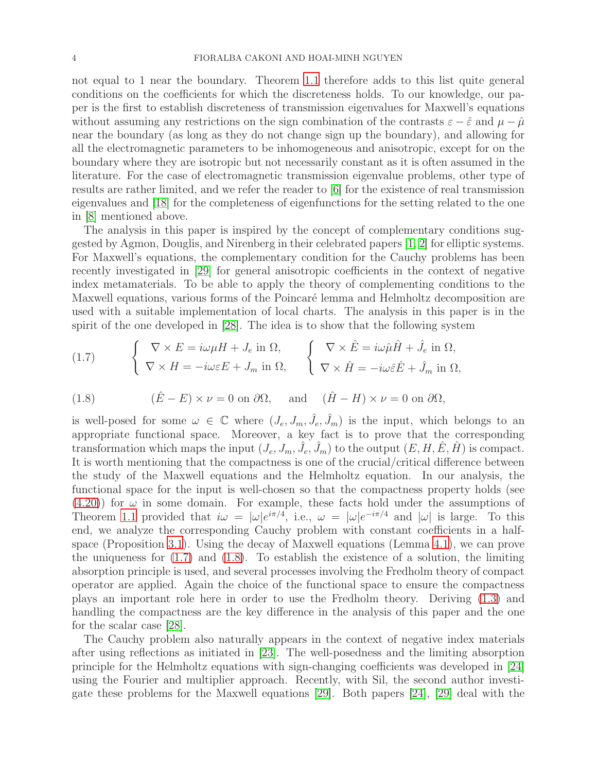not equal to 1 near the boundary. Theorem [1.1](#page-1-0) therefore adds to this list quite general conditions on the coefficients for which the discreteness holds. To our knowledge, our paper is the first to establish discreteness of transmission eigenvalues for Maxwell's equations without assuming any restrictions on the sign combination of the contrasts  $\varepsilon - \hat{\varepsilon}$  and  $\mu - \hat{\mu}$ near the boundary (as long as they do not change sign up the boundary), and allowing for all the electromagnetic parameters to be inhomogeneous and anisotropic, except for on the boundary where they are isotropic but not necessarily constant as it is often assumed in the literature. For the case of electromagnetic transmission eigenvalue problems, other type of results are rather limited, and we refer the reader to [\[6\]](#page-21-4) for the existence of real transmission eigenvalues and [\[18\]](#page-22-11) for the completeness of eigenfunctions for the setting related to the one in [\[8\]](#page-21-8) mentioned above.

The analysis in this paper is inspired by the concept of complementary conditions suggested by Agmon, Douglis, and Nirenberg in their celebrated papers [\[1,](#page-21-9) [2\]](#page-21-10) for elliptic systems. For Maxwell's equations, the complementary condition for the Cauchy problems has been recently investigated in [\[29\]](#page-22-12) for general anisotropic coefficients in the context of negative index metamaterials. To be able to apply the theory of complementing conditions to the Maxwell equations, various forms of the Poincaré lemma and Helmholtz decomposition are used with a suitable implementation of local charts. The analysis in this paper is in the spirit of the one developed in [\[28\]](#page-22-2). The idea is to show that the following system

<span id="page-3-0"></span>(1.7) 
$$
\begin{cases} \nabla \times E = i\omega\mu H + J_e \text{ in } \Omega, \\ \nabla \times H = -i\omega\varepsilon E + J_m \text{ in } \Omega, \end{cases} \n\begin{cases} \nabla \times \hat{E} = i\omega\hat{\mu}\hat{H} + \hat{J}_e \text{ in } \Omega, \\ \nabla \times \hat{H} = -i\omega\hat{\varepsilon}\hat{E} + \hat{J}_m \text{ in } \Omega, \end{cases}
$$

<span id="page-3-1"></span>(1.8) 
$$
(\hat{E} - E) \times \nu = 0
$$
 on  $\partial \Omega$ , and  $(\hat{H} - H) \times \nu = 0$  on  $\partial \Omega$ ,

is well-posed for some  $\omega \in \mathbb{C}$  where  $(J_e, J_m, \hat{J}_e, \hat{J}_m)$  is the input, which belongs to an appropriate functional space. Moreover, a key fact is to prove that the corresponding transformation which maps the input  $(J_e, J_m, \hat{J}_e, \hat{J}_m)$  to the output  $(E, H, \hat{E}, \hat{H})$  is compact. It is worth mentioning that the compactness is one of the crucial/critical difference between the study of the Maxwell equations and the Helmholtz equation. In our analysis, the functional space for the input is well-chosen so that the compactness property holds (see  $(4.20)$  for  $\omega$  in some domain. For example, these facts hold under the assumptions of Theorem [1.1](#page-1-0) provided that  $i\omega = |\omega|e^{i\pi/4}$ , i.e.,  $\omega = |\omega|e^{-i\pi/4}$  and  $|\omega|$  is large. To this end, we analyze the corresponding Cauchy problem with constant coefficients in a halfspace (Proposition [3.1\)](#page-6-0). Using the decay of Maxwell equations (Lemma [4.1](#page-17-0)), we can prove the uniqueness for  $(1.7)$  and  $(1.8)$ . To establish the existence of a solution, the limiting absorption principle is used, and several processes involving the Fredholm theory of compact operator are applied. Again the choice of the functional space to ensure the compactness plays an important role here in order to use the Fredholm theory. Deriving [\(1.3\)](#page-1-1) and handling the compactness are the key difference in the analysis of this paper and the one for the scalar case [\[28\]](#page-22-2).

The Cauchy problem also naturally appears in the context of negative index materials after using reflections as initiated in [\[23\]](#page-22-13). The well-posedness and the limiting absorption principle for the Helmholtz equations with sign-changing coefficients was developed in [\[24\]](#page-22-14) using the Fourier and multiplier approach. Recently, with Sil, the second author investigate these problems for the Maxwell equations [\[29\]](#page-22-12). Both papers [\[24\]](#page-22-14), [\[29\]](#page-22-12) deal with the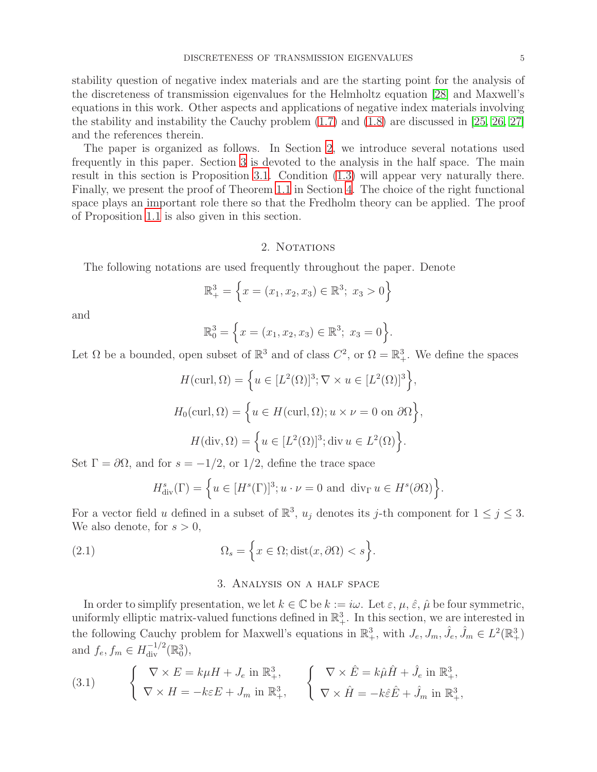stability question of negative index materials and are the starting point for the analysis of the discreteness of transmission eigenvalues for the Helmholtz equation [\[28\]](#page-22-2) and Maxwell's equations in this work. Other aspects and applications of negative index materials involving the stability and instability the Cauchy problem  $(1.7)$  and  $(1.8)$  are discussed in [\[25,](#page-22-15) [26,](#page-22-16) [27\]](#page-22-17) and the references therein.

The paper is organized as follows. In Section [2](#page-4-0), we introduce several notations used frequently in this paper. Section [3](#page-4-1) is devoted to the analysis in the half space. The main result in this section is Proposition [3.1](#page-6-0). Condition [\(1.3\)](#page-1-1) will appear very naturally there. Finally, we present the proof of Theorem [1.1](#page-1-0) in Section [4](#page-14-0). The choice of the right functional space plays an important role there so that the Fredholm theory can be applied. The proof of Proposition [1.1](#page-1-4) is also given in this section.

# 2. NOTATIONS

<span id="page-4-0"></span>The following notations are used frequently throughout the paper. Denote

$$
\mathbb{R}^3_+ = \left\{ x = (x_1, x_2, x_3) \in \mathbb{R}^3; \ x_3 > 0 \right\}
$$

and

$$
\mathbb{R}_0^3 = \left\{ x = (x_1, x_2, x_3) \in \mathbb{R}^3; \ x_3 = 0 \right\}.
$$

Let  $\Omega$  be a bounded, open subset of  $\mathbb{R}^3$  and of class  $C^2$ , or  $\Omega = \mathbb{R}^3_+$ . We define the spaces

$$
H(\text{curl}, \Omega) = \left\{ u \in [L^2(\Omega)]^3; \nabla \times u \in [L^2(\Omega)]^3 \right\},\
$$

$$
H_0(\text{curl}, \Omega) = \left\{ u \in H(\text{curl}, \Omega); u \times \nu = 0 \text{ on } \partial\Omega \right\},\
$$

$$
H(\text{div}, \Omega) = \left\{ u \in [L^2(\Omega)]^3; \text{div } u \in L^2(\Omega) \right\}.
$$

Set  $\Gamma = \partial \Omega$ , and for  $s = -1/2$ , or 1/2, define the trace space

$$
H_{\text{div}}^{s}(\Gamma) = \left\{ u \in [H^{s}(\Gamma)]^{3}; u \cdot \nu = 0 \text{ and } \text{div}_{\Gamma} u \in H^{s}(\partial \Omega) \right\}.
$$

For a vector field u defined in a subset of  $\mathbb{R}^3$ ,  $u_j$  denotes its j-th component for  $1 \le j \le 3$ . We also denote, for  $s > 0$ ,

<span id="page-4-1"></span>(2.1) 
$$
\Omega_s = \left\{ x \in \Omega; \text{dist}(x, \partial \Omega) < s \right\}.
$$

# <span id="page-4-2"></span>3. Analysis on a half space

In order to simplify presentation, we let  $k \in \mathbb{C}$  be  $k := i\omega$ . Let  $\varepsilon, \mu, \hat{\varepsilon}, \hat{\mu}$  be four symmetric, uniformly elliptic matrix-valued functions defined in  $\mathbb{R}^3_+$ . In this section, we are interested in the following Cauchy problem for Maxwell's equations in  $\mathbb{R}^3_+$ , with  $J_e, J_m, \hat{J}_e, \hat{J}_m \in L^2(\mathbb{R}^3_+)$ and  $f_e, f_m \in H^{-1/2}_{\text{div}}(\mathbb{R}^3_0),$ 

(3.1) 
$$
\begin{cases} \nabla \times E = k\mu H + J_e \text{ in } \mathbb{R}^3_+, \\ \nabla \times H = -k\varepsilon E + J_m \text{ in } \mathbb{R}^3_+, \n\end{cases} \begin{cases} \nabla \times \hat{E} = k\hat{\mu}\hat{H} + \hat{J}_e \text{ in } \mathbb{R}^3_+, \\ \nabla \times \hat{H} = -k\hat{\varepsilon}\hat{E} + \hat{J}_m \text{ in } \mathbb{R}^3_+, \n\end{cases}
$$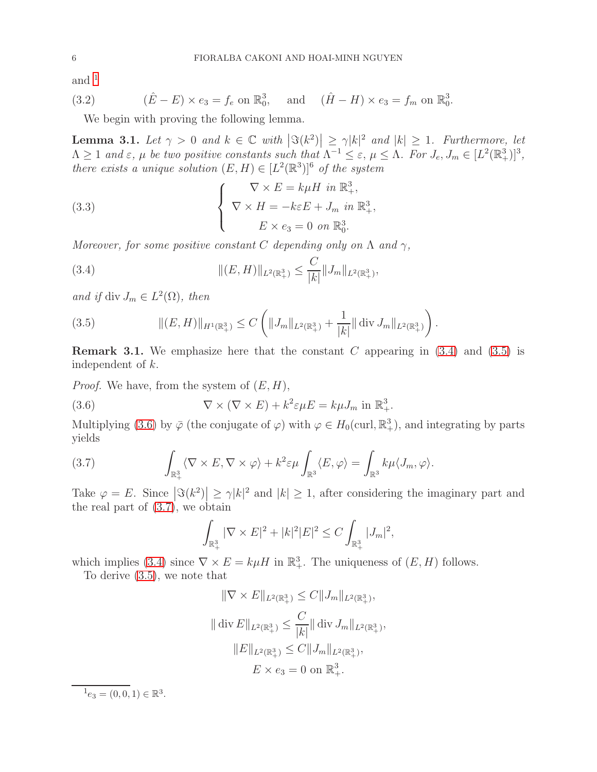and  $1$ 

(3.2) 
$$
(\hat{E} - E) \times e_3 = f_e \text{ on } \mathbb{R}^3_0, \text{ and } (\hat{H} - H) \times e_3 = f_m \text{ on } \mathbb{R}^3_0.
$$

We begin with proving the following lemma.

<span id="page-5-5"></span>**Lemma 3.1.** Let  $\gamma > 0$  and  $k \in \mathbb{C}$  with  $|\Im(k^2)| \ge \gamma |k|^2$  and  $|k| \ge 1$ . Furthermore, let  $\Lambda \geq 1$  and  $\varepsilon$ ,  $\mu$  be two positive constants such that  $\Lambda^{-1} \leq \varepsilon$ ,  $\mu \leq \Lambda$ . For  $J_e, J_m \in [L^2(\mathbb{R}^3_+)]^3$ , there exists a unique solution  $(E, H) \in [L^2(\mathbb{R}^3)]^6$  of the system

(3.3) 
$$
\begin{cases} \nabla \times E = k\mu H \text{ in } \mathbb{R}^3_+, \\ \nabla \times H = -k\varepsilon E + J_m \text{ in } \mathbb{R}^3_+, \\ E \times e_3 = 0 \text{ on } \mathbb{R}^3_0. \end{cases}
$$

Moreover, for some positive constant C depending only on  $\Lambda$  and  $\gamma$ ,

<span id="page-5-1"></span>(3.4) 
$$
\| (E, H) \|_{L^2(\mathbb{R}^3_+)} \leq \frac{C}{|k|} \| J_m \|_{L^2(\mathbb{R}^3_+)},
$$

and if div  $J_m \in L^2(\Omega)$ , then

<span id="page-5-2"></span>(3.5) 
$$
\| (E, H) \|_{H^1(\mathbb{R}^3_+)} \leq C \left( \| J_m \|_{L^2(\mathbb{R}^3_+)} + \frac{1}{|k|} \| \operatorname{div} J_m \|_{L^2(\mathbb{R}^3_+)} \right).
$$

**Remark 3.1.** We emphasize here that the constant C appearing in  $(3.4)$  and  $(3.5)$  is independent of k.

*Proof.* We have, from the system of  $(E, H)$ ,

(3.6) 
$$
\nabla \times (\nabla \times E) + k^2 \varepsilon \mu E = k \mu J_m \text{ in } \mathbb{R}^3_+.
$$

Multiplying [\(3.6\)](#page-5-3) by  $\overline{\varphi}$  (the conjugate of  $\varphi$ ) with  $\varphi \in H_0(\text{curl}, \mathbb{R}^3_+)$ , and integrating by parts yields

(3.7) 
$$
\int_{\mathbb{R}^3_+} \langle \nabla \times E, \nabla \times \varphi \rangle + k^2 \varepsilon \mu \int_{\mathbb{R}^3} \langle E, \varphi \rangle = \int_{\mathbb{R}^3} k \mu \langle J_m, \varphi \rangle.
$$

Take  $\varphi = E$ . Since  $|\Im(k^2)| \ge \gamma |k|^2$  and  $|k| \ge 1$ , after considering the imaginary part and the real part of [\(3.7\)](#page-5-4), we obtain

<span id="page-5-4"></span><span id="page-5-3"></span>
$$
\int_{\mathbb{R}^3_+} |\nabla \times E|^2 + |k|^2 |E|^2 \le C \int_{\mathbb{R}^3_+} |J_m|^2,
$$

which implies [\(3.4\)](#page-5-1) since  $\nabla \times E = k\mu H$  in  $\mathbb{R}^3_+$ . The uniqueness of  $(E, H)$  follows.

To derive [\(3.5\)](#page-5-2), we note that

$$
\|\nabla \times E\|_{L^2(\mathbb{R}^3_+)} \leq C \|J_m\|_{L^2(\mathbb{R}^3_+)},
$$
  

$$
\|\text{div } E\|_{L^2(\mathbb{R}^3_+)} \leq \frac{C}{|k|} \|\text{div } J_m\|_{L^2(\mathbb{R}^3_+)},
$$
  

$$
\|E\|_{L^2(\mathbb{R}^3_+)} \leq C \|J_m\|_{L^2(\mathbb{R}^3_+)},
$$
  

$$
E \times e_3 = 0 \text{ on } \mathbb{R}^3_+.
$$

<span id="page-5-0"></span> $^{1}e_{3}=(0,0,1)\in \mathbb{R}^{3}.$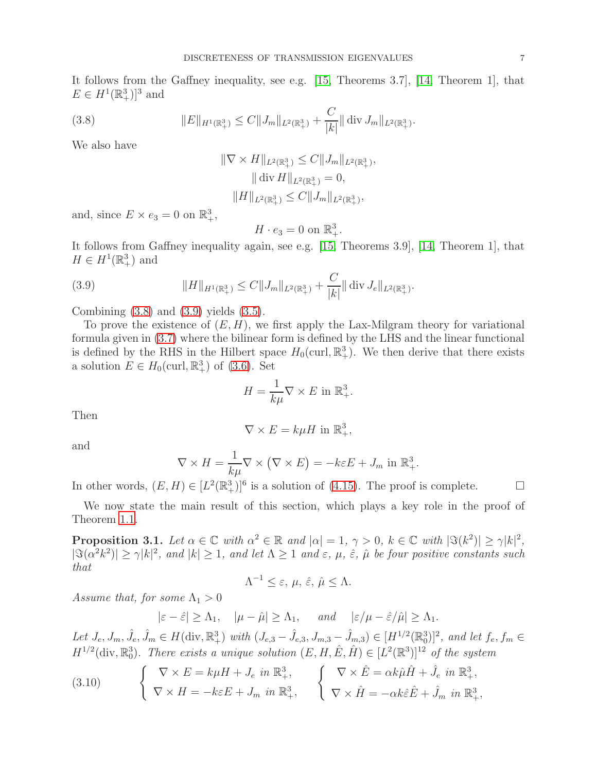It follows from the Gaffney inequality, see e.g. [\[15,](#page-21-11) Theorems 3.7], [\[14,](#page-21-12) Theorem 1], that  $E \in H^1(\mathbb{R}^3_+)]^3$  and

(3.8) 
$$
||E||_{H^1(\mathbb{R}^3_+)} \leq C||J_m||_{L^2(\mathbb{R}^3_+)} + \frac{C}{|k|} ||\operatorname{div} J_m||_{L^2(\mathbb{R}^3_+)}.
$$

We also have

<span id="page-6-1"></span>
$$
\|\nabla \times H\|_{L^2(\mathbb{R}^3_+)} \leq C \|J_m\|_{L^2(\mathbb{R}^3_+)},
$$
  

$$
\|\text{div } H\|_{L^2(\mathbb{R}^3_+)} = 0,
$$
  

$$
\|H\|_{L^2(\mathbb{R}^3_+)} \leq C \|J_m\|_{L^2(\mathbb{R}^3_+)},
$$

and, since  $E \times e_3 = 0$  on  $\mathbb{R}^3_+$ ,

<span id="page-6-2"></span>
$$
H \cdot e_3 = 0 \text{ on } \mathbb{R}^3_+.
$$

It follows from Gaffney inequality again, see e.g. [\[15,](#page-21-11) Theorems 3.9], [\[14,](#page-21-12) Theorem 1], that  $H \in H^1(\mathbb{R}^3_+)$  and

(3.9) 
$$
||H||_{H^1(\mathbb{R}^3_+)} \leq C||J_m||_{L^2(\mathbb{R}^3_+)} + \frac{C}{|k|} ||\text{ div } J_e||_{L^2(\mathbb{R}^3_+)}.
$$

Combining  $(3.8)$  and  $(3.9)$  yields  $(3.5)$ .

To prove the existence of  $(E, H)$ , we first apply the Lax-Milgram theory for variational formula given in [\(3.7\)](#page-5-4) where the bilinear form is defined by the LHS and the linear functional is defined by the RHS in the Hilbert space  $H_0(\text{curl}, \mathbb{R}^3_+)$ . We then derive that there exists a solution  $E \in H_0(\text{curl}, \mathbb{R}^3_+)$  of [\(3.6\)](#page-5-3). Set

$$
H = \frac{1}{k\mu} \nabla \times E \text{ in } \mathbb{R}^3_+.
$$

Then

$$
\nabla \times E = k\mu H \text{ in } \mathbb{R}^3_+,
$$

and

$$
\nabla \times H = \frac{1}{k\mu} \nabla \times (\nabla \times E) = -k\varepsilon E + J_m \text{ in } \mathbb{R}^3_+.
$$

In other words,  $(E, H) \in [L^2(\mathbb{R}^3_+)]^6$  is a solution of [\(4.15\)](#page-17-1). The proof is complete.  $\Box$ 

We now state the main result of this section, which plays a key role in the proof of Theorem [1.1](#page-1-0).

<span id="page-6-0"></span>**Proposition 3.1.** Let  $\alpha \in \mathbb{C}$  with  $\alpha^2 \in \mathbb{R}$  and  $|\alpha| = 1$ ,  $\gamma > 0$ ,  $k \in \mathbb{C}$  with  $|\Im(k^2)| \ge \gamma |k|^2$ ,  $|\Im(\alpha^2 k^2)| \ge \gamma |k|^2$ , and  $|k| \ge 1$ , and let  $\Lambda \ge 1$  and  $\varepsilon$ ,  $\mu$ ,  $\hat{\varepsilon}$ ,  $\hat{\mu}$  be four positive constants such that

$$
\Lambda^{-1} \leq \varepsilon, \, \mu, \, \hat{\varepsilon}, \, \hat{\mu} \leq \Lambda.
$$

Assume that, for some  $\Lambda_1 > 0$ 

 $|\varepsilon - \hat{\varepsilon}| \geq \Lambda_1$ ,  $|\mu - \hat{\mu}| \geq \Lambda_1$ , and  $|\varepsilon / \mu - \hat{\varepsilon} / \hat{\mu}| \geq \Lambda_1$ .

Let  $J_e, J_m, \hat{J}_e, \hat{J}_m \in H(\text{div}, \mathbb{R}^3_+)$  with  $(J_{e,3} - \hat{J}_{e,3}, J_{m,3} - \hat{J}_{m,3}) \in [H^{1/2}(\mathbb{R}^3_0)]^2$ , and let  $f_e, f_m \in H(\text{div}, \mathbb{R}^3_+)$  $H^{1/2}(\text{div}, \mathbb{R}_0^3)$ . There exists a unique solution  $(E, H, \hat{E}, \hat{H}) \in [L^2(\mathbb{R}^3)]^{12}$  of the system

<span id="page-6-3"></span>(3.10) 
$$
\begin{cases} \nabla \times E = k\mu H + J_e \text{ in } \mathbb{R}^3_+, \\ \nabla \times H = -k\varepsilon E + J_m \text{ in } \mathbb{R}^3_+, \n\end{cases} \n\begin{cases} \nabla \times \hat{E} = \alpha k \hat{\mu} \hat{H} + \hat{J}_e \text{ in } \mathbb{R}^3_+, \\ \nabla \times \hat{H} = -\alpha k \hat{\varepsilon} \hat{E} + \hat{J}_m \text{ in } \mathbb{R}^3_+, \n\end{cases}
$$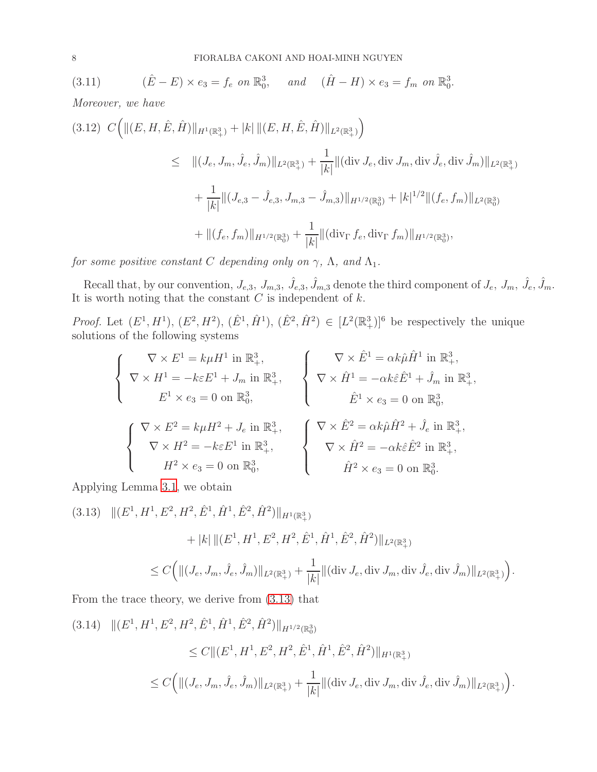<span id="page-7-2"></span>(3.11) 
$$
(\hat{E} - E) \times e_3 = f_e \text{ on } \mathbb{R}^3_0, \text{ and } (\hat{H} - H) \times e_3 = f_m \text{ on } \mathbb{R}^3_0.
$$

Moreover, we have

$$
(3.12) C \Big( \| (E, H, \hat{E}, \hat{H}) \|_{H^1(\mathbb{R}^3_+)} + |k| \| (E, H, \hat{E}, \hat{H}) \|_{L^2(\mathbb{R}^3_+)} \Big)
$$
  
\$\leq\$  $||(J_e, J_m, \hat{J}_e, \hat{J}_m) ||_{L^2(\mathbb{R}^3_+)} + \frac{1}{|k|} \| (\text{div } J_e, \text{div } J_m, \text{div } \hat{J}_e, \text{div } \hat{J}_m) \|_{L^2(\mathbb{R}^3_+)} + \frac{1}{|k|} \| (J_{e,3} - \hat{J}_{e,3}, J_{m,3} - \hat{J}_{m,3}) \|_{H^{1/2}(\mathbb{R}^3_0)} + |k|^{1/2} \| (f_e, f_m) \|_{L^2(\mathbb{R}^3_0)} + \| (f_e, f_m) \|_{H^{1/2}(\mathbb{R}^3_0)} + \frac{1}{|k|} \| (\text{div}_{\Gamma} f_e, \text{div}_{\Gamma} f_m) \|_{H^{1/2}(\mathbb{R}^3_0)},$ 

for some positive constant C depending only on  $\gamma,$   $\Lambda,$  and  $\Lambda_1.$ 

Recall that, by our convention,  $J_{e,3}$ ,  $J_{m,3}$ ,  $\hat{J}_{e,3}$ ,  $\hat{J}_{m,3}$  denote the third component of  $J_e$ ,  $J_m$ ,  $\hat{J}_e$ ,  $\hat{J}_m$ . It is worth noting that the constant  $C$  is independent of  $k$ .

*Proof.* Let  $(E^1, H^1)$ ,  $(E^2, H^2)$ ,  $(\hat{E}^1, \hat{H}^1)$ ,  $(\hat{E}^2, \hat{H}^2) \in [L^2(\mathbb{R}^3_+)]^6$  be respectively the unique solutions of the following systems

$$
\begin{cases}\n\nabla \times E^1 = k\mu H^1 \text{ in } \mathbb{R}^3_+, \\
\nabla \times H^1 = -k\varepsilon E^1 + J_m \text{ in } \mathbb{R}^3_+, \\
E^1 \times e_3 = 0 \text{ on } \mathbb{R}^3_0, \\
\nabla \times \hat{H}^2 = k\mu H^2 + J_e \text{ in } \mathbb{R}^3_+, \\
\nabla \times \hat{H}^2 = -k\varepsilon E^1 \text{ in } \mathbb{R}^3_+, \\
H^2 \times e_3 = 0 \text{ on } \mathbb{R}^3_0,\n\end{cases}\n\qquad\n\begin{cases}\n\nabla \times \hat{E}^1 = \alpha k \hat{\mu} \hat{H}^1 \text{ in } \mathbb{R}^3_+, \\
\nabla \times \hat{H}^1 = -\alpha k \hat{\varepsilon} \hat{E}^1 + \hat{J}_m \text{ in } \mathbb{R}^3_+, \\
\hat{E}^1 \times e_3 = 0 \text{ on } \mathbb{R}^3_0, \\
\nabla \times \hat{H}^2 = -\alpha k \hat{\varepsilon} \hat{E}^2 \text{ in } \mathbb{R}^3_+, \\
H^2 \times e_3 = 0 \text{ on } \mathbb{R}^3_0.\n\end{cases}
$$

Applying Lemma [3.1](#page-5-5), we obtain

<span id="page-7-0"></span>(3.13) 
$$
\|(E^1, H^1, E^2, H^2, \hat{E}^1, \hat{H}^1, \hat{E}^2, \hat{H}^2)\|_{H^1(\mathbb{R}^3_+)}
$$

$$
+ |k| \|(E^1, H^1, E^2, H^2, \hat{E}^1, \hat{H}^1, \hat{E}^2, \hat{H}^2)\|_{L^2(\mathbb{R}^3_+)}
$$

$$
\leq C \Big( \| (J_e, J_m, \hat{J}_e, \hat{J}_m) \|_{L^2(\mathbb{R}^3_+)} + \frac{1}{|k|} \| (\text{div } J_e, \text{div } J_m, \text{div } \hat{J}_e, \text{div } \hat{J}_m) \|_{L^2(\mathbb{R}^3_+)} \Big).
$$
  
From the trace theory, we derive from (3.13) that

<span id="page-7-1"></span>
$$
(3.14) \quad ||(E^1, H^1, E^2, H^2, \hat{E}^1, \hat{H}^1, \hat{E}^2, \hat{H}^2)||_{H^{1/2}(\mathbb{R}_0^3)}
$$
  
\$\leq C \|(E^1, H^1, E^2, H^2, \hat{E}^1, \hat{H}^1, \hat{E}^2, \hat{H}^2)||\_{H^1(\mathbb{R}\_+^3)}\$  
\$\leq C \Big(||(J\_e, J\_m, \hat{J}\_e, \hat{J}\_m)||\_{L^2(\mathbb{R}\_+^3)} + \frac{1}{|k|} \|(\text{div } J\_e, \text{div } J\_m, \text{div } \hat{J}\_e, \text{div } \hat{J}\_m)||\_{L^2(\mathbb{R}\_+^3)}\Big)\$.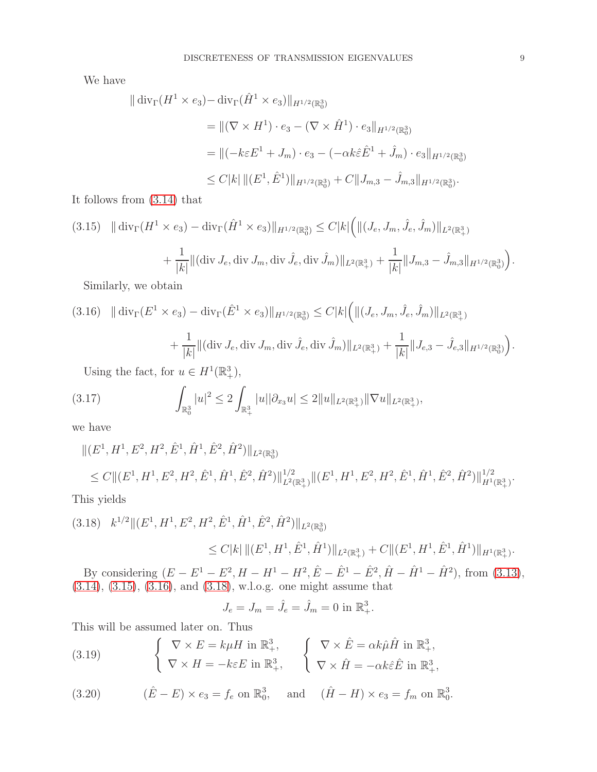We have

$$
\|\operatorname{div}_{\Gamma}(H^{1} \times e_{3}) - \operatorname{div}_{\Gamma}(\hat{H}^{1} \times e_{3})\|_{H^{1/2}(\mathbb{R}_{0}^{3})}
$$
\n
$$
= \|(\nabla \times H^{1}) \cdot e_{3} - (\nabla \times \hat{H}^{1}) \cdot e_{3}\|_{H^{1/2}(\mathbb{R}_{0}^{3})}
$$
\n
$$
= \|(-k\varepsilon E^{1} + J_{m}) \cdot e_{3} - (-\alpha k \hat{\varepsilon} \hat{E}^{1} + \hat{J}_{m}) \cdot e_{3}\|_{H^{1/2}(\mathbb{R}_{0}^{3})}
$$
\n
$$
\leq C|k| \|(E^{1}, \hat{E}^{1})\|_{H^{1/2}(\mathbb{R}_{0}^{3})} + C\|J_{m,3} - \hat{J}_{m,3}\|_{H^{1/2}(\mathbb{R}_{0}^{3})}.
$$

It follows from [\(3.14\)](#page-7-1) that

<span id="page-8-0"></span>
$$
(3.15) \quad \|\operatorname{div}_{\Gamma}(H^{1} \times e_{3}) - \operatorname{div}_{\Gamma}(\hat{H}^{1} \times e_{3})\|_{H^{1/2}(\mathbb{R}_{0}^{3})} \leq C|k| \left( \|(J_{e}, J_{m}, \hat{J}_{e}, \hat{J}_{m})\|_{L^{2}(\mathbb{R}_{+}^{3})} + \frac{1}{|k|} \|(\operatorname{div} J_{e}, \operatorname{div} J_{m}, \operatorname{div} \hat{J}_{e}, \operatorname{div} \hat{J}_{m})\|_{L^{2}(\mathbb{R}_{+}^{3})} + \frac{1}{|k|} \|J_{m,3} - \hat{J}_{m,3}\|_{H^{1/2}(\mathbb{R}_{0}^{3})} \right).
$$

Similarly, we obtain

<span id="page-8-1"></span>
$$
(3.16) \quad \|\operatorname{div}_{\Gamma}(E^1 \times e_3) - \operatorname{div}_{\Gamma}(\hat{E}^1 \times e_3)\|_{H^{1/2}(\mathbb{R}^3_0)} \le C|k| \left( \|(J_e, J_m, \hat{J}_e, \hat{J}_m)\|_{L^2(\mathbb{R}^3_+)} \right.
$$
\n
$$
+ \frac{1}{|k|} \|(\operatorname{div} J_e, \operatorname{div} J_m, \operatorname{div} \hat{J}_e, \operatorname{div} \hat{J}_m)\|_{L^2(\mathbb{R}^3_+)} + \frac{1}{|k|} \|J_{e,3} - \hat{J}_{e,3}\|_{H^{1/2}(\mathbb{R}^3_0)} \right).
$$
\nUsing the fact, for  $u \in H^{1}(\mathbb{R}^3)$ .

Using the fact, for  $u \in H^1(\mathbb{R}^3_+),$ 

$$
(3.17) \qquad \int_{\mathbb{R}^3_0} |u|^2 \leq 2 \int_{\mathbb{R}^3_+} |u| |\partial_{x_3} u| \leq 2 \|u\|_{L^2(\mathbb{R}^3_+)} \|\nabla u\|_{L^2(\mathbb{R}^3_+)},
$$

we have

$$
||(E^1, H^1, E^2, H^2, \hat{E}^1, \hat{H}^1, \hat{E}^2, \hat{H}^2)||_{L^2(\mathbb{R}_0^3)}
$$
  
\n
$$
\leq C||(E^1, H^1, E^2, H^2, \hat{E}^1, \hat{H}^1, \hat{E}^2, \hat{H}^2)||_{L^2(\mathbb{R}_+^3)}^{1/2}||(E^1, H^1, E^2, H^2, \hat{E}^1, \hat{H}^1, \hat{E}^2, \hat{H}^2)||_{H^1(\mathbb{R}_+^3)}^{1/2}.
$$
  
\nThis yields

<span id="page-8-2"></span>
$$
(3.18) \quad k^{1/2} \|(E^1, H^1, E^2, H^2, \hat{E}^1, \hat{H}^1, \hat{E}^2, \hat{H}^2)\|_{L^2(\mathbb{R}_0^3)} \leq C|k| \|(E^1, H^1, \hat{E}^1, \hat{H}^1)\|_{L^2(\mathbb{R}_+^3)} + C \|(E^1, H^1, \hat{E}^1, \hat{H}^1)\|_{H^1(\mathbb{R}_+^3)}.
$$

By considering  $(E - E^1 - E^2, H - H^1 - H^2, \hat{E} - \hat{E}^1 - \hat{E}^2, \hat{H} - \hat{H}^1 - \hat{H}^2)$ , from [\(3.13\)](#page-7-0), [\(3.14\)](#page-7-1), [\(3.15\)](#page-8-0), [\(3.16\)](#page-8-1), and [\(3.18\)](#page-8-2), w.l.o.g. one might assume that

$$
J_e = J_m = \hat{J}_e = \hat{J}_m = 0 \text{ in } \mathbb{R}^3_+.
$$

This will be assumed later on. Thus

(3.19) 
$$
\begin{cases} \nabla \times E = k\mu H \text{ in } \mathbb{R}^3_+, \\ \nabla \times H = -k\varepsilon E \text{ in } \mathbb{R}^3_+, \n\end{cases} \begin{cases} \nabla \times \hat{E} = \alpha k \hat{\mu} \hat{H} \text{ in } \mathbb{R}^3_+, \\ \nabla \times \hat{H} = -\alpha k \hat{\varepsilon} \hat{E} \text{ in } \mathbb{R}^3_+, \n\end{cases}
$$

(3.20) 
$$
(\hat{E} - E) \times e_3 = f_e
$$
 on  $\mathbb{R}_0^3$ , and  $(\hat{H} - H) \times e_3 = f_m$  on  $\mathbb{R}_0^3$ .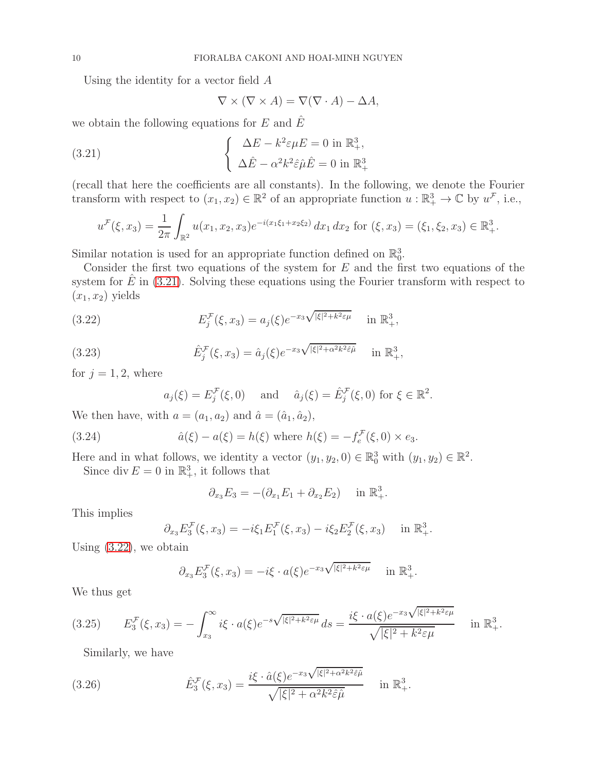Using the identity for a vector field A

<span id="page-9-0"></span>
$$
\nabla \times (\nabla \times A) = \nabla(\nabla \cdot A) - \Delta A,
$$

we obtain the following equations for E and  $\hat{E}$ 

(3.21) 
$$
\begin{cases} \Delta E - k^2 \varepsilon \mu E = 0 \text{ in } \mathbb{R}^3_+, \\ \Delta \hat{E} - \alpha^2 k^2 \hat{\varepsilon} \hat{\mu} \hat{E} = 0 \text{ in } \mathbb{R}^3_+ \end{cases}
$$

(recall that here the coefficients are all constants). In the following, we denote the Fourier transform with respect to  $(x_1, x_2) \in \mathbb{R}^2$  of an appropriate function  $u : \mathbb{R}^3_+ \to \mathbb{C}$  by  $u^{\mathcal{F}}$ , i.e.,

$$
u^{\mathcal{F}}(\xi, x_3) = \frac{1}{2\pi} \int_{\mathbb{R}^2} u(x_1, x_2, x_3) e^{-i(x_1\xi_1 + x_2\xi_2)} dx_1 dx_2 \text{ for } (\xi, x_3) = (\xi_1, \xi_2, x_3) \in \mathbb{R}^3_+.
$$

Similar notation is used for an appropriate function defined on  $\mathbb{R}^3_0$ .

Consider the first two equations of the system for  $E$  and the first two equations of the system for  $E$  in [\(3.21\)](#page-9-0). Solving these equations using the Fourier transform with respect to  $(x_1, x_2)$  yields

(3.22) 
$$
E_j^{\mathcal{F}}(\xi, x_3) = a_j(\xi) e^{-x_3 \sqrt{|\xi|^2 + k^2 \varepsilon \mu}} \quad \text{in } \mathbb{R}^3_+,
$$

(3.23) 
$$
\hat{E}_j^{\mathcal{F}}(\xi, x_3) = \hat{a}_j(\xi) e^{-x_3 \sqrt{|\xi|^2 + \alpha^2 k^2 \hat{\varepsilon} \hat{\mu}}}\quad \text{in } \mathbb{R}^3_+,
$$

for  $j = 1, 2$ , where

<span id="page-9-5"></span><span id="page-9-4"></span><span id="page-9-1"></span>
$$
a_j(\xi) = E_j^{\mathcal{F}}(\xi, 0)
$$
 and  $\hat{a}_j(\xi) = \hat{E}_j^{\mathcal{F}}(\xi, 0)$  for  $\xi \in \mathbb{R}^2$ .

We then have, with  $a = (a_1, a_2)$  and  $\hat{a} = (\hat{a}_1, \hat{a}_2)$ ,

(3.24) 
$$
\hat{a}(\xi) - a(\xi) = h(\xi)
$$
 where  $h(\xi) = -f_e^{\mathcal{F}}(\xi, 0) \times e_3$ .

Here and in what follows, we identity a vector  $(y_1, y_2, 0) \in \mathbb{R}_0^3$  with  $(y_1, y_2) \in \mathbb{R}^2$ .

Since div  $E = 0$  in  $\mathbb{R}^3_+$ , it follows that

$$
\partial_{x_3} E_3 = -(\partial_{x_1} E_1 + \partial_{x_2} E_2) \quad \text{in } \mathbb{R}^3_+.
$$

This implies

$$
\partial_{x_3} E_3^{\mathcal{F}}(\xi, x_3) = -i \xi_1 E_1^{\mathcal{F}}(\xi, x_3) - i \xi_2 E_2^{\mathcal{F}}(\xi, x_3) \quad \text{in } \mathbb{R}^3_+.
$$

Using [\(3.22\)](#page-9-1), we obtain

$$
\partial_{x_3} E_3^{\mathcal{F}}(\xi, x_3) = -i\xi \cdot a(\xi) e^{-x_3 \sqrt{|\xi|^2 + k^2 \varepsilon \mu}} \quad \text{in } \mathbb{R}^3_+.
$$

We thus get

$$
(3.25) \t\t E_3^{\mathcal{F}}(\xi, x_3) = -\int_{x_3}^{\infty} i\xi \cdot a(\xi)e^{-s\sqrt{|\xi|^2 + k^2 \varepsilon\mu}} ds = \frac{i\xi \cdot a(\xi)e^{-x_3\sqrt{|\xi|^2 + k^2 \varepsilon\mu}}}{\sqrt{|\xi|^2 + k^2 \varepsilon\mu}} \t in \mathbb{R}^3_+.
$$

<span id="page-9-3"></span><span id="page-9-2"></span>Similarly, we have

(3.26) 
$$
\hat{E}_3^{\mathcal{F}}(\xi, x_3) = \frac{i\xi \cdot \hat{a}(\xi)e^{-x_3\sqrt{|\xi|^2 + \alpha^2k^2\hat{\varepsilon}\hat{\mu}}}}{\sqrt{|\xi|^2 + \alpha^2k^2\hat{\varepsilon}\hat{\mu}}}\quad \text{in } \mathbb{R}^3_+.
$$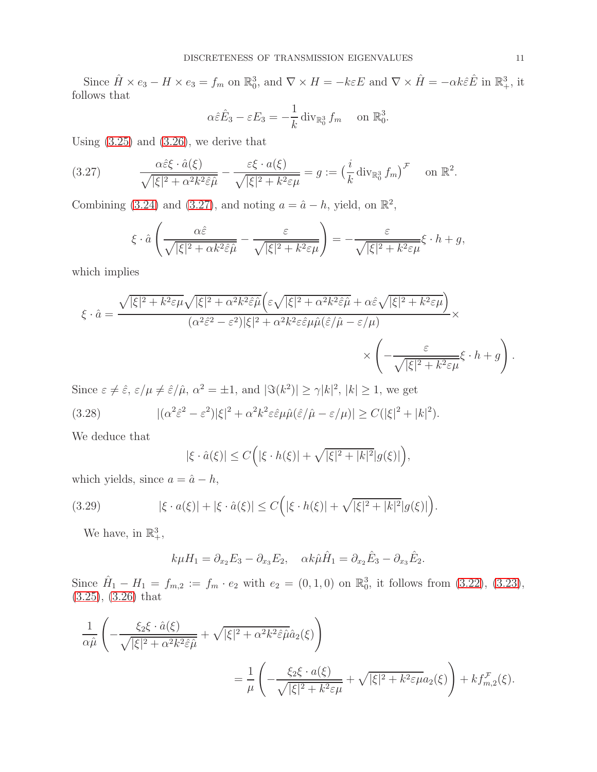Since  $\hat{H} \times e_3 - H \times e_3 = f_m$  on  $\mathbb{R}_0^3$ , and  $\nabla \times H = -k\varepsilon E$  and  $\nabla \times \hat{H} = -\alpha k \hat{\varepsilon} \hat{E}$  in  $\mathbb{R}^3_+$ , it follows that

$$
\alpha \hat{\varepsilon} \hat{E}_3 - \varepsilon E_3 = -\frac{1}{k} \operatorname{div}_{\mathbb{R}_0^3} f_m \quad \text{on } \mathbb{R}_0^3.
$$

Using  $(3.25)$  and  $(3.26)$ , we derive that

(3.27) 
$$
\frac{\alpha \hat{\varepsilon} \xi \cdot \hat{a}(\xi)}{\sqrt{|\xi|^2 + \alpha^2 k^2 \hat{\varepsilon} \hat{\mu}}} - \frac{\varepsilon \xi \cdot a(\xi)}{\sqrt{|\xi|^2 + k^2 \varepsilon \mu}} = g := \left(\frac{i}{k} \operatorname{div}_{\mathbb{R}_0^3} f_m\right)^{\mathcal{F}} \text{ on } \mathbb{R}^2.
$$

Combining [\(3.24\)](#page-9-4) and [\(3.27\)](#page-10-0), and noting  $a = \hat{a} - h$ , yield, on  $\mathbb{R}^2$ ,

<span id="page-10-0"></span>
$$
\xi \cdot \hat{a} \left( \frac{\alpha \hat{\varepsilon}}{\sqrt{|\xi|^2 + \alpha k^2 \hat{\varepsilon} \hat{\mu}}} - \frac{\varepsilon}{\sqrt{|\xi|^2 + k^2 \varepsilon \mu}} \right) = -\frac{\varepsilon}{\sqrt{|\xi|^2 + k^2 \varepsilon \mu}} \xi \cdot h + g,
$$

which implies

$$
\xi \cdot \hat{a} = \frac{\sqrt{|\xi|^2 + k^2 \varepsilon \mu} \sqrt{|\xi|^2 + \alpha^2 k^2 \hat{\varepsilon} \hat{\mu}} \Big( \varepsilon \sqrt{|\xi|^2 + \alpha^2 k^2 \hat{\varepsilon} \hat{\mu}} + \alpha \hat{\varepsilon} \sqrt{|\xi|^2 + k^2 \varepsilon \mu} \Big)}{(\alpha^2 \hat{\varepsilon}^2 - \varepsilon^2)|\xi|^2 + \alpha^2 k^2 \varepsilon \hat{\varepsilon} \mu \hat{\mu}(\hat{\varepsilon}/\hat{\mu} - \varepsilon/\mu)} \times \left( -\frac{\varepsilon}{\sqrt{|\xi|^2 + k^2 \varepsilon \mu}} \xi \cdot h + g \right).
$$

Since  $\varepsilon \neq \hat{\varepsilon}$ ,  $\varepsilon/\mu \neq \hat{\varepsilon}/\hat{\mu}$ ,  $\alpha^2 = \pm 1$ , and  $|\Im(k^2)| \geq \gamma |k|^2$ ,  $|k| \geq 1$ , we get  $(3.28)$  $\int_0^2 \hat{\varepsilon}^2 - \varepsilon^2 |\xi|^2 + \alpha^2 k^2 \varepsilon \hat{\varepsilon} \mu \hat{\mu} (\hat{\varepsilon}/\hat{\mu} - \varepsilon/\mu)| \ge C(|\xi|^2 + |k|^2).$ 

We deduce that

$$
|\xi \cdot \hat{a}(\xi)| \le C\Big(|\xi \cdot h(\xi)| + \sqrt{|\xi|^2 + |k|^2}|g(\xi)|\Big),
$$

which yields, since  $a = \hat{a} - h$ ,

(3.29) 
$$
|\xi \cdot a(\xi)| + |\xi \cdot \hat{a}(\xi)| \le C(|\xi \cdot h(\xi)| + \sqrt{|\xi|^2 + |k|^2} |g(\xi)|).
$$

We have, in  $\mathbb{R}^3_+$ ,

<span id="page-10-1"></span> $k\mu H_1 = \partial_{x_2} E_3 - \partial_{x_3} E_2, \quad \alpha k \hat{\mu} \hat{H}_1 = \partial_{x_2} \hat{E}_3 - \partial_{x_3} \hat{E}_2.$ 

Since  $\hat{H}_1 - H_1 = f_{m,2} := f_m \cdot e_2$  with  $e_2 = (0,1,0)$  on  $\mathbb{R}_0^3$ , it follows from  $(3.22)$ ,  $(3.23)$ , [\(3.25\)](#page-9-2), [\(3.26\)](#page-9-3) that

$$
\frac{1}{\alpha \hat{\mu}} \left( -\frac{\xi_2 \xi \cdot \hat{a}(\xi)}{\sqrt{|\xi|^2 + \alpha^2 k^2 \hat{\varepsilon} \hat{\mu}}} + \sqrt{|\xi|^2 + \alpha^2 k^2 \hat{\varepsilon} \hat{\mu} \hat{a}_2(\xi)} \right)
$$
\n
$$
= \frac{1}{\mu} \left( -\frac{\xi_2 \xi \cdot a(\xi)}{\sqrt{|\xi|^2 + k^2 \varepsilon \mu}} + \sqrt{|\xi|^2 + k^2 \varepsilon \mu} a_2(\xi) \right) + k f_{m,2}^{\mathcal{F}}(\xi).
$$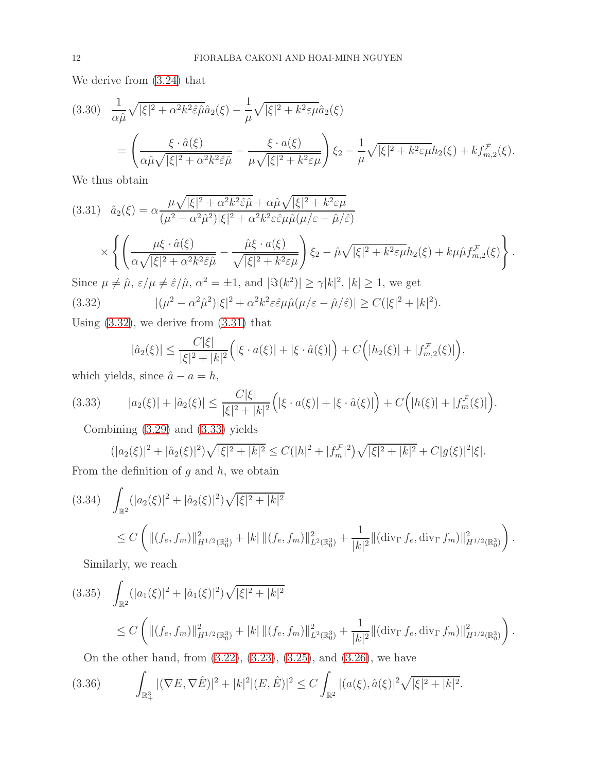We derive from [\(3.24\)](#page-9-4) that

$$
(3.30) \frac{1}{\alpha \hat{\mu}} \sqrt{|\xi|^2 + \alpha^2 k^2 \hat{\varepsilon} \hat{\mu} \hat{a}_2(\xi)} - \frac{1}{\mu} \sqrt{|\xi|^2 + k^2 \varepsilon \mu} \hat{a}_2(\xi)
$$
  
= 
$$
\left( \frac{\xi \cdot \hat{a}(\xi)}{\alpha \hat{\mu} \sqrt{|\xi|^2 + \alpha^2 k^2 \hat{\varepsilon} \hat{\mu}}} - \frac{\xi \cdot a(\xi)}{\mu \sqrt{|\xi|^2 + k^2 \varepsilon \mu}} \right) \xi_2 - \frac{1}{\mu} \sqrt{|\xi|^2 + k^2 \varepsilon \mu} h_2(\xi) + k f_{m,2}^{\mathcal{F}}(\xi).
$$

We thus obtain

<span id="page-11-1"></span>
$$
(3.31) \quad \hat{a}_2(\xi) = \alpha \frac{\mu \sqrt{|\xi|^2 + \alpha^2 k^2 \hat{\epsilon} \hat{\mu}} + \alpha \hat{\mu} \sqrt{|\xi|^2 + k^2 \epsilon \mu}}{(\mu^2 - \alpha^2 \hat{\mu}^2)|\xi|^2 + \alpha^2 k^2 \epsilon \hat{\epsilon} \mu \hat{\mu} (\mu/\epsilon - \hat{\mu}/\hat{\epsilon})}
$$
\n
$$
\times \left\{ \left( \frac{\mu \xi \cdot \hat{a}(\xi)}{\alpha \sqrt{|\xi|^2 + \alpha^2 k^2 \hat{\epsilon} \hat{\mu}}} - \frac{\hat{\mu} \xi \cdot a(\xi)}{\sqrt{|\xi|^2 + k^2 \epsilon \mu}} \right) \xi_2 - \hat{\mu} \sqrt{|\xi|^2 + k^2 \epsilon \mu} h_2(\xi) + k \mu \hat{\mu} f_{m,2}^{\mathcal{F}}(\xi) \right\}.
$$
\nSince  $\mu \neq \hat{\mu}, \, \varepsilon/\mu \neq \hat{\varepsilon}/\hat{\mu}, \, \alpha^2 = \pm 1$ , and  $|\Im(k^2)| \geq \gamma |k|^2, \, |k| \geq 1$ , we get

Since  $\mu \neq \hat{\mu}, \, \varepsilon/\mu \neq \hat{\varepsilon}/\hat{\mu}, \, \alpha$  $2 = \pm 1$ , and  $|\Im(k)$  $)| \geq \gamma |k|$ ,  $|k| \geq 1$ , we get  $(3.32)$  $2^2 - \alpha^2 \hat{\mu}^2$ )| $\xi|^2 + \alpha^2 k^2 \varepsilon \hat{\varepsilon} \mu \hat{\mu} (\mu/\varepsilon - \hat{\mu}/\hat{\varepsilon})$ |  $\geq C(|\xi|^2 + |k|^2).$ 

Using [\(3.32\)](#page-11-0), we derive from [\(3.31\)](#page-11-1) that

<span id="page-11-0"></span>
$$
|\hat{a}_2(\xi)| \leq \frac{C|\xi|}{|\xi|^2 + |k|^2} \Big( |\xi \cdot a(\xi)| + |\xi \cdot \hat{a}(\xi)| \Big) + C\Big( |h_2(\xi)| + |f_{m,2}^{\mathcal{F}}(\xi)| \Big),
$$

which yields, since  $\hat{a} - a = h$ ,

(3.33) 
$$
|a_2(\xi)| + |\hat{a}_2(\xi)| \leq \frac{C|\xi|}{|\xi|^2 + |k|^2} \Big( |\xi \cdot a(\xi)| + |\xi \cdot \hat{a}(\xi)| \Big) + C \Big( |h(\xi)| + |f_m^{\mathcal{F}}(\xi)| \Big).
$$

Combining [\(3.29\)](#page-10-1) and [\(3.33\)](#page-11-2) yields

<span id="page-11-2"></span>
$$
(|a_2(\xi)|^2 + |\hat{a}_2(\xi)|^2)\sqrt{|\xi|^2 + |k|^2} \le C(|h|^2 + |f_m^{\mathcal{F}}|^2)\sqrt{|\xi|^2 + |k|^2} + C|g(\xi)|^2|\xi|.
$$

From the definition of  $g$  and  $h$ , we obtain

<span id="page-11-3"></span>
$$
(3.34) \quad \int_{\mathbb{R}^2} (|a_2(\xi)|^2 + |\hat{a}_2(\xi)|^2) \sqrt{|\xi|^2 + |k|^2} \n\leq C \left( \| (f_e, f_m) \|_{H^{1/2}(\mathbb{R}_0^3)}^2 + |k| \| (f_e, f_m) \|_{L^2(\mathbb{R}_0^3)}^2 + \frac{1}{|k|^2} \| (\operatorname{div}_{\Gamma} f_e, \operatorname{div}_{\Gamma} f_m) \|_{H^{1/2}(\mathbb{R}_0^3)}^2 \right).
$$

Similarly, we reach

<span id="page-11-4"></span>
$$
(3.35) \quad \int_{\mathbb{R}^2} (|a_1(\xi)|^2 + |\hat{a}_1(\xi)|^2) \sqrt{|\xi|^2 + |k|^2} \n\leq C \left( \| (f_e, f_m) \|_{H^{1/2}(\mathbb{R}_0^3)}^2 + |k| \| (f_e, f_m) \|_{L^2(\mathbb{R}_0^3)}^2 + \frac{1}{|k|^2} \| (\operatorname{div}_{\Gamma} f_e, \operatorname{div}_{\Gamma} f_m) \|_{H^{1/2}(\mathbb{R}_0^3)}^2 \right).
$$

<span id="page-11-5"></span>On the other hand, from [\(3.22\)](#page-9-1), [\(3.23\)](#page-9-5), [\(3.25\)](#page-9-2), and [\(3.26\)](#page-9-3), we have

$$
(3.36) \qquad \int_{\mathbb{R}^3_+} |(\nabla E, \nabla \hat{E})|^2 + |k|^2 |(E, \hat{E})|^2 \le C \int_{\mathbb{R}^2} |(a(\xi), \hat{a}(\xi)|^2 \sqrt{|\xi|^2 + |k|^2}).
$$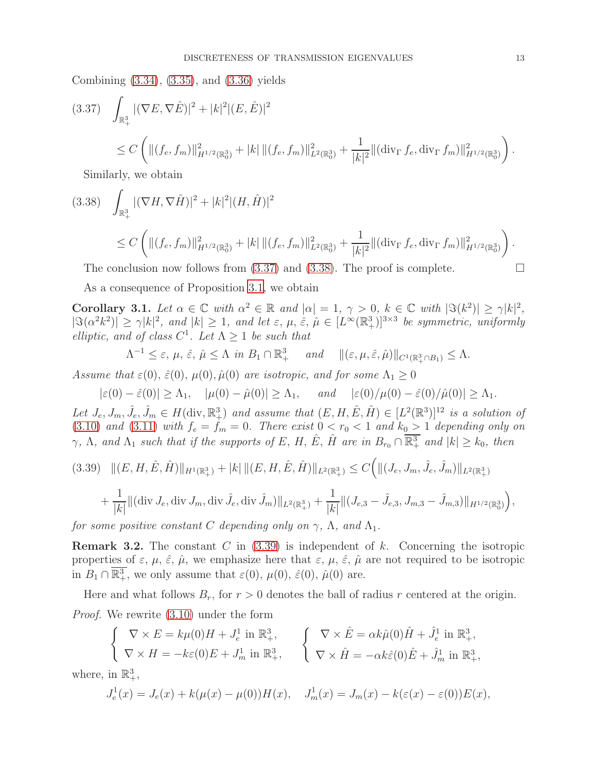Combining [\(3.34\)](#page-11-3), [\(3.35\)](#page-11-4), and [\(3.36\)](#page-11-5) yields

<span id="page-12-0"></span>
$$
(3.37) \quad \int_{\mathbb{R}^3_+} |(\nabla E, \nabla \hat{E})|^2 + |k|^2 |(E, \hat{E})|^2
$$
  

$$
\leq C \left( \| (f_e, f_m) \|_{H^{1/2}(\mathbb{R}^3_0)}^2 + |k| \| (f_e, f_m) \|_{L^2(\mathbb{R}^3_0)}^2 + \frac{1}{|k|^2} \| (\operatorname{div}_{\Gamma} f_e, \operatorname{div}_{\Gamma} f_m) \|_{H^{1/2}(\mathbb{R}^3_0)}^2 \right).
$$

Similarly, we obtain

<span id="page-12-1"></span>
$$
(3.38) \quad \int_{\mathbb{R}^3_+} |(\nabla H, \nabla \hat{H})|^2 + |k|^2 |(H, \hat{H})|^2
$$
  
 
$$
\leq C \left( \| (f_e, f_m) \|_{H^{1/2}(\mathbb{R}^3_0)}^2 + |k| \| (f_e, f_m) \|_{L^2(\mathbb{R}^3_0)}^2 + \frac{1}{|k|^2} \| (\operatorname{div}_{\Gamma} f_e, \operatorname{div}_{\Gamma} f_m) \|_{H^{1/2}(\mathbb{R}^3_0)}^2 \right).
$$

The conclusion now follows from  $(3.37)$  and  $(3.38)$ . The proof is complete.

As a consequence of Proposition [3.1](#page-6-0), we obtain

<span id="page-12-3"></span>Corollary 3.1. Let  $\alpha \in \mathbb{C}$  with  $\alpha^2 \in \mathbb{R}$  and  $|\alpha| = 1, \gamma > 0, k \in \mathbb{C}$  with  $|\Im(k^2)| \ge \gamma |k|^2$ ,  $|\Im(\alpha^2 k^2)| \geq \gamma |k|^2$ , and  $|k| \geq 1$ , and let  $\varepsilon, \mu, \hat{\varepsilon}, \hat{\mu} \in [L^\infty(\mathbb{R}^3_+)]^{3 \times 3}$  be symmetric, uniformly elliptic, and of class  $C^1$ . Let  $\Lambda \geq 1$  be such that

$$
\Lambda^{-1} \leq \varepsilon, \, \mu, \, \hat{\varepsilon}, \, \hat{\mu} \leq \Lambda \, \text{ in } B_1 \cap \mathbb{R}^3_+ \quad \text{ and } \quad \|(\varepsilon, \mu, \hat{\varepsilon}, \hat{\mu})\|_{C^1(\mathbb{R}^3_+\cap B_1)} \leq \Lambda.
$$

Assume that  $\varepsilon(0)$ ,  $\hat{\varepsilon}(0)$ ,  $\mu(0)$ ,  $\hat{\mu}(0)$  are isotropic, and for some  $\Lambda_1 \geq 0$ 

 $|\varepsilon(0) - \hat{\varepsilon}(0)| > \Lambda_1$ ,  $|\mu(0) - \hat{\mu}(0)| > \Lambda_1$ , and  $|\varepsilon(0)/\mu(0) - \hat{\varepsilon}(0)/\hat{\mu}(0)| > \Lambda_1$ .

Let  $J_e, J_m, \hat{J}_e, \hat{J}_m \in H(\text{div}, \mathbb{R}^3_+)$  and assume that  $(E, H, \hat{E}, \hat{H}) \in [L^2(\mathbb{R}^3)]^{12}$  is a solution of [\(3.10\)](#page-6-3) and [\(3.11\)](#page-7-2) with  $f_e = f_m = 0$ . There exist  $0 < r_0 < 1$  and  $k_0 > 1$  depending only on  $\gamma$ ,  $\Lambda$ , and  $\Lambda_1$  such that if the supports of E, H,  $\hat{E}$ ,  $\hat{H}$  are in  $B_{r_0} \cap \overline{\mathbb{R}^3_+}$  and  $|k| \geq k_0$ , then

<span id="page-12-2"></span>
$$
(3.39) \quad ||(E, H, \hat{E}, \hat{H})||_{H^1(\mathbb{R}^3_+)} + |k| \, ||(E, H, \hat{E}, \hat{H})||_{L^2(\mathbb{R}^3_+)} \leq C \Big( ||(J_e, J_m, \hat{J}_e, \hat{J}_m)||_{L^2(\mathbb{R}^3_+)} + \frac{1}{|k|} ||(\text{div } J_e, \text{div } J_m, \text{div } \hat{J}_e, \text{div } \hat{J}_m)||_{L^2(\mathbb{R}^3_+)} + \frac{1}{|k|} ||(J_{e,3} - \hat{J}_{e,3}, J_{m,3} - \hat{J}_{m,3})||_{H^{1/2}(\mathbb{R}^3_0)} \Big),
$$

for some positive constant C depending only on  $\gamma$ ,  $\Lambda$ , and  $\Lambda_1$ .

**Remark 3.2.** The constant  $C$  in  $(3.39)$  is independent of  $k$ . Concerning the isotropic properties of  $\varepsilon$ ,  $\mu$ ,  $\hat{\varepsilon}$ ,  $\hat{\mu}$ , we emphasize here that  $\varepsilon$ ,  $\mu$ ,  $\hat{\varepsilon}$ ,  $\hat{\mu}$  are not required to be isotropic in  $B_1 \cap \overline{\mathbb{R}^3_+}$ , we only assume that  $\varepsilon(0)$ ,  $\mu(0)$ ,  $\hat{\varepsilon}(0)$ ,  $\hat{\mu}(0)$  are.

Here and what follows  $B_r$ , for  $r > 0$  denotes the ball of radius r centered at the origin. Proof. We rewrite [\(3.10\)](#page-6-3) under the form

$$
\begin{cases} \nabla \times E = k\mu(0)H + J_e^1 \text{ in } \mathbb{R}^3_+,\\ \nabla \times H = -k\varepsilon(0)E + J_m^1 \text{ in } \mathbb{R}^3_+, \n\end{cases} \n\begin{cases} \nabla \times \hat{E} = \alpha k\hat{\mu}(0)\hat{H} + \hat{J}_e^1 \text{ in } \mathbb{R}^3_+,\\ \nabla \times \hat{H} = -\alpha k\hat{\varepsilon}(0)\hat{E} + \hat{J}_m^1 \text{ in } \mathbb{R}^3_+, \n\end{cases}
$$

where, in  $\mathbb{R}^3_+$ ,

$$
J_e^1(x) = J_e(x) + k(\mu(x) - \mu(0))H(x), \quad J_m^1(x) = J_m(x) - k(\varepsilon(x) - \varepsilon(0))E(x),
$$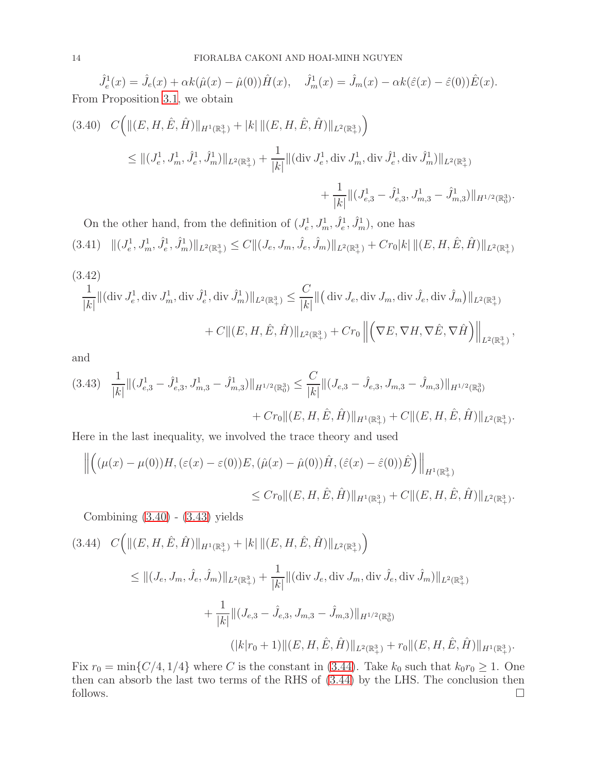$\hat{J}_e^1(x) = \hat{J}_e(x) + \alpha k (\hat{\mu}(x) - \hat{\mu}(0)) \hat{H}(x), \quad \hat{J}_m^1(x) = \hat{J}_m(x) - \alpha k (\hat{\varepsilon}(x) - \hat{\varepsilon}(0)) \hat{E}(x).$ From Proposition [3.1](#page-6-0), we obtain

<span id="page-13-0"></span>
$$
(3.40) \quad C \Big( \| (E, H, \hat{E}, \hat{H}) \|_{H^1(\mathbb{R}^3_+)} + |k| \| (E, H, \hat{E}, \hat{H}) \|_{L^2(\mathbb{R}^3_+)} \Big)
$$
  
\$\leq \| (J\_e^1, J\_m^1, \hat{J}\_e^1, \hat{J}\_m^1) \|\_{L^2(\mathbb{R}^3\_+)} + \frac{1}{|k|} \| (\text{div } J\_e^1, \text{div } J\_m^1, \text{div } \hat{J}\_e^1, \text{div } \hat{J}\_m^1) \|\_{L^2(\mathbb{R}^3\_+)} \Big\}  
\$+ \frac{1}{|k|} \| (J\_{e,3}^1 - \hat{J}\_{e,3}^1, J\_{m,3}^1 - \hat{J}\_{m,3}^1) \|\_{H^{1/2}(\mathbb{R}^3\_0)}.

On the other hand, from the definition of  $(J_e^1, J_m^1, \hat{J}_e^1, \hat{J}_m^1)$ , one has

$$
(3.41) \quad ||(J_e^1, J_m^1, \hat{J}_e^1, \hat{J}_m^1)||_{L^2(\mathbb{R}^3_+)} \le C ||(J_e, J_m, \hat{J}_e, \hat{J}_m)||_{L^2(\mathbb{R}^3_+)} + Cr_0|k| ||(E, H, \hat{E}, \hat{H})||_{L^2(\mathbb{R}^3_+)}
$$

(3.42)  
\n
$$
\frac{1}{|k|} \|(\text{div } J_e^1, \text{div } J_m^1, \text{div } \hat{J}_e^1, \text{div } \hat{J}_m^1) \|_{L^2(\mathbb{R}^3_+)} \leq \frac{C}{|k|} \|(\text{div } J_e, \text{div } J_m, \text{div } \hat{J}_e, \text{div } \hat{J}_m) \|_{L^2(\mathbb{R}^3_+)}
$$
\n
$$
+ C \| (E, H, \hat{E}, \hat{H}) \|_{L^2(\mathbb{R}^3_+)} + C r_0 \| \left( \nabla E, \nabla H, \nabla \hat{E}, \nabla \hat{H} \right) \|_{L^2(\mathbb{R}^3_+)},
$$

and

<span id="page-13-1"></span>
$$
(3.43) \quad \frac{1}{|k|} \|(J_{e,3}^1 - \hat{J}_{e,3}^1, J_{m,3}^1 - \hat{J}_{m,3}^1) \|_{H^{1/2}(\mathbb{R}_0^3)} \le \frac{C}{|k|} \|(J_{e,3} - \hat{J}_{e,3}, J_{m,3} - \hat{J}_{m,3}) \|_{H^{1/2}(\mathbb{R}_0^3)} + Cr_0 \|(E, H, \hat{E}, \hat{H}) \|_{H^1(\mathbb{R}_+^3)} + C \| (E, H, \hat{E}, \hat{H}) \|_{L^2(\mathbb{R}_+^3)}.
$$

Here in the last inequality, we involved the trace theory and used

$$
\left\| \left( (\mu(x) - \mu(0)) H, (\varepsilon(x) - \varepsilon(0)) E, (\hat{\mu}(x) - \hat{\mu}(0)) \hat{H}, (\hat{\varepsilon}(x) - \hat{\varepsilon}(0)) \hat{E}) \right\|_{H^1(\mathbb{R}^3_+)}
$$
  

$$
\leq C r_0 \| (E, H, \hat{E}, \hat{H}) \|_{H^1(\mathbb{R}^3_+)} + C \| (E, H, \hat{E}, \hat{H}) \|_{L^2(\mathbb{R}^3_+)}. \right\|_{L^2(\mathbb{R}^3_+)}.
$$

Combining [\(3.40\)](#page-13-0) - [\(3.43\)](#page-13-1) yields

<span id="page-13-2"></span>
$$
(3.44) \quad C \Big( \| (E, H, \hat{E}, \hat{H}) \|_{H^1(\mathbb{R}^3_+)} + |k| \| (E, H, \hat{E}, \hat{H}) \|_{L^2(\mathbb{R}^3_+)} \Big)
$$
  
\$\leq \| (J\_e, J\_m, \hat{J}\_e, \hat{J}\_m) \|\_{L^2(\mathbb{R}^3\_+)} + \frac{1}{|k|} \| (\text{div } J\_e, \text{div } J\_m, \text{div } \hat{J}\_e, \text{div } \hat{J}\_m) \|\_{L^2(\mathbb{R}^3\_+)}   
 + \frac{1}{|k|} \| (J\_{e,3} - \hat{J}\_{e,3}, J\_{m,3} - \hat{J}\_{m,3}) \|\_{H^{1/2}(\mathbb{R}^3\_0)}   
 (|k|r\_0 + 1) \| (E, H, \hat{E}, \hat{H}) \|\_{L^2(\mathbb{R}^3\_+)} + r\_0 \| (E, H, \hat{E}, \hat{H}) \|\_{H^1(\mathbb{R}^3\_+)}.

Fix  $r_0 = \min\{C/4, 1/4\}$  where C is the constant in [\(3.44\)](#page-13-2). Take  $k_0$  such that  $k_0r_0 \geq 1$ . One then can absorb the last two terms of the RHS of [\(3.44\)](#page-13-2) by the LHS. The conclusion then follows.  $\Box$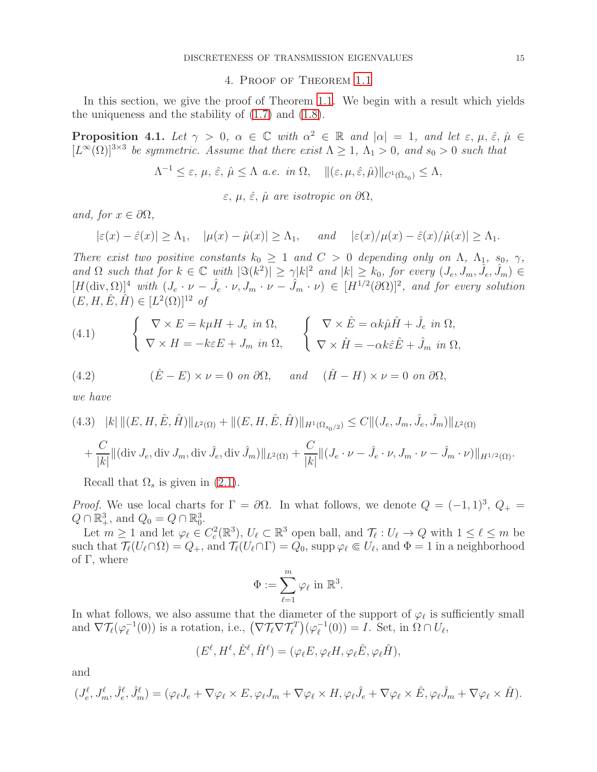### 4. Proof of Theorem [1.1](#page-1-0)

<span id="page-14-0"></span>In this section, we give the proof of Theorem [1.1](#page-1-0). We begin with a result which yields the uniqueness and the stability of [\(1.7\)](#page-3-0) and [\(1.8\)](#page-3-1).

<span id="page-14-2"></span>**Proposition 4.1.** Let  $\gamma > 0$ ,  $\alpha \in \mathbb{C}$  with  $\alpha^2 \in \mathbb{R}$  and  $|\alpha| = 1$ , and let  $\varepsilon, \mu, \hat{\varepsilon}, \hat{\mu} \in \mathbb{R}$  $[L^{\infty}(\Omega)]^{3\times3}$  be symmetric. Assume that there exist  $\Lambda \geq 1$ ,  $\Lambda_1 > 0$ , and  $s_0 > 0$  such that

$$
\Lambda^{-1} \leq \varepsilon, \, \mu, \, \hat{\varepsilon}, \, \hat{\mu} \leq \Lambda \, a.e. \, in \, \Omega, \quad \| (\varepsilon, \mu, \hat{\varepsilon}, \hat{\mu}) \|_{C^1(\bar{\Omega}_{s_0})} \leq \Lambda,
$$

 $\varepsilon, \mu, \hat{\varepsilon}, \hat{\mu}$  are isotropic on  $\partial\Omega$ ,

and, for  $x \in \partial\Omega$ ,

$$
|\varepsilon(x) - \hat{\varepsilon}(x)| \ge \Lambda_1
$$
,  $|\mu(x) - \hat{\mu}(x)| \ge \Lambda_1$ , and  $|\varepsilon(x)/\mu(x) - \hat{\varepsilon}(x)/\hat{\mu}(x)| \ge \Lambda_1$ .

There exist two positive constants  $k_0 \geq 1$  and  $C > 0$  depending only on  $\Lambda$ ,  $\Lambda_1$ ,  $s_0$ ,  $\gamma$ , and  $\Omega$  such that for  $k \in \mathbb{C}$  with  $|\Im(k^2)| \geq \gamma |k|^2$  and  $|k| \geq k_0$ , for every  $(J_e, J_m, \hat{J}_e, \hat{J}_m) \in$  $[H(\text{div},\Omega)]^4$  with  $(J_e \cdot \nu - \hat{J}_e \cdot \nu, J_m \cdot \nu - \hat{J}_m \cdot \nu) \in [H^{1/2}(\partial \Omega)]^2$ , and for every solution  $(E, H, \hat{E}, \hat{H}) \in [L^2(\Omega)]^{12}$  of

<span id="page-14-1"></span>(4.1) 
$$
\begin{cases} \nabla \times E = k\mu H + J_e \text{ in } \Omega, \\ \nabla \times H = -k\varepsilon E + J_m \text{ in } \Omega, \n\end{cases} \n\begin{cases} \nabla \times \hat{E} = \alpha k \hat{\mu} \hat{H} + \hat{J}_e \text{ in } \Omega, \\ \nabla \times \hat{H} = -\alpha k \hat{\varepsilon} \hat{E} + \hat{J}_m \text{ in } \Omega, \n\end{cases}
$$

(4.2) 
$$
(\hat{E} - E) \times \nu = 0 \text{ on } \partial\Omega, \quad \text{and} \quad (\hat{H} - H) \times \nu = 0 \text{ on } \partial\Omega,
$$

we have

$$
(4.3) \quad |k| \|(E, H, \hat{E}, \hat{H})\|_{L^{2}(\Omega)} + \|(E, H, \hat{E}, \hat{H})\|_{H^{1}(\Omega_{s_{0}/2})} \leq C \|(J_{e}, J_{m}, \hat{J}_{e}, \hat{J}_{m})\|_{L^{2}(\Omega)} + \frac{C}{|k|} \|(\text{div } J_{e}, \text{div } J_{m}, \text{div } \hat{J}_{e}, \text{div } \hat{J}_{m})\|_{L^{2}(\Omega)} + \frac{C}{|k|} \|(J_{e} \cdot \nu - \hat{J}_{e} \cdot \nu, J_{m} \cdot \nu - \hat{J}_{m} \cdot \nu)\|_{H^{1/2}(\Omega)}.
$$

Recall that  $\Omega_s$  is given in [\(2.1\)](#page-4-2).

Proof. We use local charts for  $\Gamma = \partial \Omega$ . In what follows, we denote  $Q = (-1, 1)^3$ ,  $Q_+ =$  $Q \cap \mathbb{R}^3_+$ , and  $Q_0 = Q \cap \mathbb{R}^3_0$ .

Let  $m \geq 1$  and let  $\varphi_{\ell} \in C_c^2(\mathbb{R}^3), U_{\ell} \subset \mathbb{R}^3$  open ball, and  $\mathcal{T}_{\ell}: U_{\ell} \to Q$  with  $1 \leq \ell \leq m$  be such that  $\mathcal{T}_{\ell}(U_{\ell} \cap \Omega) = Q_+$ , and  $\mathcal{T}_{\ell}(U_{\ell} \cap \Gamma) = Q_0$ , supp  $\varphi_{\ell} \in U_{\ell}$ , and  $\Phi = 1$  in a neighborhood of  $\Gamma$ , where

$$
\Phi := \sum_{\ell=1}^m \varphi_\ell \text{ in } \mathbb{R}^3.
$$

In what follows, we also assume that the diameter of the support of  $\varphi_{\ell}$  is sufficiently small and  $\nabla \mathcal{T}_{\ell}(\varphi_{\ell}^{-1})$  $(\nabla \mathcal{T}_{\ell} \nabla \mathcal{T}_{\ell}^T)(\varphi_{\ell}^{-1})$  is a rotation, i.e.,  $(\nabla \mathcal{T}_{\ell} \nabla \mathcal{T}_{\ell}^T)(\varphi_{\ell}^{-1})$  $\ell^{-1}(0) = I$ . Set, in  $\Omega \cap U_{\ell}$ ,

$$
(E^{\ell}, H^{\ell}, \hat{E}^{\ell}, \hat{H}^{\ell}) = (\varphi_{\ell} E, \varphi_{\ell} H, \varphi_{\ell} \hat{E}, \varphi_{\ell} \hat{H}),
$$

and

$$
(J_e^{\ell}, J_m^{\ell}, \hat{J}_e^{\ell}, \hat{J}_m^{\ell}) = (\varphi_{\ell} J_e + \nabla \varphi_{\ell} \times E, \varphi_{\ell} J_m + \nabla \varphi_{\ell} \times H, \varphi_{\ell} \hat{J}_e + \nabla \varphi_{\ell} \times \hat{E}, \varphi_{\ell} \hat{J}_m + \nabla \varphi_{\ell} \times \hat{H}).
$$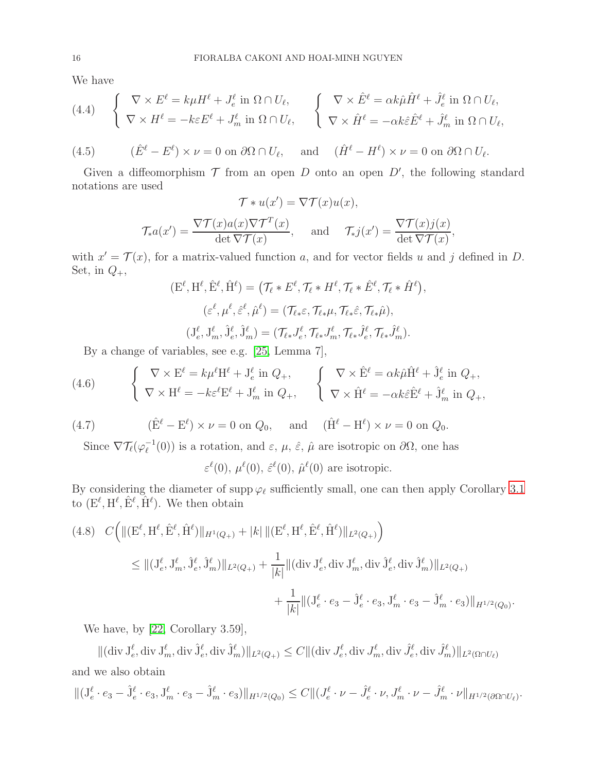We have

(4.4) 
$$
\begin{cases} \nabla \times E^{\ell} = k\mu H^{\ell} + J_{e}^{\ell} \text{ in } \Omega \cap U_{\ell}, \\ \nabla \times H^{\ell} = -k\varepsilon E^{\ell} + J_{m}^{\ell} \text{ in } \Omega \cap U_{\ell}, \n\end{cases} \n\begin{cases} \nabla \times \hat{E}^{\ell} = \alpha k \hat{\mu} \hat{H}^{\ell} + \hat{J}_{e}^{\ell} \text{ in } \Omega \cap U_{\ell}, \\ \nabla \times \hat{H}^{\ell} = -\alpha k \hat{\varepsilon} \hat{E}^{\ell} + \hat{J}_{m}^{\ell} \text{ in } \Omega \cap U_{\ell}, \n\end{cases}
$$

(4.5) 
$$
(\hat{E}^{\ell} - E^{\ell}) \times \nu = 0
$$
 on  $\partial \Omega \cap U_{\ell}$ , and  $(\hat{H}^{\ell} - H^{\ell}) \times \nu = 0$  on  $\partial \Omega \cap U_{\ell}$ .

Given a diffeomorphism  $\mathcal T$  from an open  $D$  onto an open  $D'$ , the following standard notations are used

$$
\mathcal{T} * u(x') = \nabla \mathcal{T}(x)u(x),
$$

$$
\mathcal{T}_* a(x') = \frac{\nabla \mathcal{T}(x) a(x) \nabla \mathcal{T}^T(x)}{\det \nabla \mathcal{T}(x)}, \quad \text{and} \quad \mathcal{T}_* j(x') = \frac{\nabla \mathcal{T}(x) j(x)}{\det \nabla \mathcal{T}(x)},
$$

with  $x' = \mathcal{T}(x)$ , for a matrix-valued function a, and for vector fields u and j defined in D. Set, in  $Q_+$ ,

$$
(\mathbf{E}^{\ell}, \mathbf{H}^{\ell}, \hat{\mathbf{E}}^{\ell}, \hat{\mathbf{H}}^{\ell}) = (\mathcal{T}_{\ell} * \mathbf{E}^{\ell}, \mathcal{T}_{\ell} * \mathbf{H}^{\ell}, \mathcal{T}_{\ell} * \hat{\mathbf{E}}^{\ell}, \mathcal{T}_{\ell} * \hat{\mathbf{H}}^{\ell}),
$$
  
\n
$$
(\varepsilon^{\ell}, \mu^{\ell}, \hat{\varepsilon}^{\ell}, \hat{\mu}^{\ell}) = (\mathcal{T}_{\ell * \varepsilon}, \mathcal{T}_{\ell * \mu}, \mathcal{T}_{\ell * \varepsilon}, \mathcal{T}_{\ell * \mu}),
$$
  
\n
$$
(\mathbf{J}_{e}^{\ell}, \mathbf{J}_{m}^{\ell}, \hat{\mathbf{J}}_{e}^{\ell}, \hat{\mathbf{J}}_{m}^{\ell}) = (\mathcal{T}_{\ell *} \mathbf{J}_{e}^{\ell}, \mathcal{T}_{\ell *} \mathbf{J}_{m}^{\ell}, \mathcal{T}_{\ell *} \hat{\mathbf{J}}_{e}^{\ell}, \mathcal{T}_{\ell *} \hat{\mathbf{J}}_{m}^{\ell}).
$$

By a change of variables, see e.g. [\[25,](#page-22-15) Lemma 7],

(4.6) 
$$
\begin{cases} \nabla \times \mathbf{E}^{\ell} = k\mu^{\ell} \mathbf{H}^{\ell} + \mathbf{J}_{e}^{\ell} \text{ in } Q_{+},\\ \nabla \times \mathbf{H}^{\ell} = -k\varepsilon^{\ell} \mathbf{E}^{\ell} + \mathbf{J}_{m}^{\ell} \text{ in } Q_{+}, \n\end{cases} \n\begin{cases} \nabla \times \hat{\mathbf{E}}^{\ell} = \alpha k \hat{\mu} \hat{\mathbf{H}}^{\ell} + \hat{\mathbf{J}}_{e}^{\ell} \text{ in } Q_{+},\\ \nabla \times \hat{\mathbf{H}}^{\ell} = -\alpha k \hat{\varepsilon} \hat{\mathbf{E}}^{\ell} + \hat{\mathbf{J}}_{m}^{\ell} \text{ in } Q_{+}, \n\end{cases}
$$

(4.7) 
$$
(\hat{E}^{\ell} - E^{\ell}) \times \nu = 0 \text{ on } Q_0, \text{ and } (\hat{H}^{\ell} - H^{\ell}) \times \nu = 0 \text{ on } Q_0.
$$

Since  $\nabla \mathcal{T}_{\ell}(\varphi_{\ell}^{-1})$  $(\epsilon^{-1}(0))$  is a rotation, and  $\varepsilon$ ,  $\mu$ ,  $\hat{\varepsilon}$ ,  $\hat{\mu}$  are isotropic on  $\partial\Omega$ , one has

 $\varepsilon^{\ell}(0), \mu^{\ell}(0), \hat{\varepsilon}^{\ell}(0), \hat{\mu}^{\ell}(0)$  are isotropic.

By considering the diameter of supp  $\varphi_{\ell}$  sufficiently small, one can then apply Corollary [3.1](#page-12-3) to  $(E^{\ell}, H^{\ell}, \hat{E}^{\ell}, \hat{H}^{\ell})$ . We then obtain

<span id="page-15-0"></span>
$$
(4.8) \quad C \Big( \| (\mathbf{E}^{\ell}, \mathbf{H}^{\ell}, \hat{\mathbf{E}}^{\ell}, \hat{\mathbf{H}}^{\ell}) \|_{H^1(Q_+)} + |k| \| (\mathbf{E}^{\ell}, \mathbf{H}^{\ell}, \hat{\mathbf{E}}^{\ell}, \hat{\mathbf{H}}^{\ell}) \|_{L^2(Q_+)} \Big)
$$
  

$$
\leq \| (\mathbf{J}_{e}^{\ell}, \mathbf{J}_{m}^{\ell}, \hat{\mathbf{J}}_{e}^{\ell}, \hat{\mathbf{J}}_{m}^{\ell}) \|_{L^2(Q_+)} + \frac{1}{|k|} \| (\operatorname{div} \mathbf{J}_{e}^{\ell}, \operatorname{div} \mathbf{J}_{m}^{\ell}, \operatorname{div} \hat{\mathbf{J}}_{e}^{\ell}, \operatorname{div} \hat{\mathbf{J}}_{m}^{\ell}) \|_{L^2(Q_+)} \Big)
$$
  

$$
+ \frac{1}{|k|} \| (\mathbf{J}_{e}^{\ell} \cdot e_3 - \hat{\mathbf{J}}_{e}^{\ell} \cdot e_3, \mathbf{J}_{m}^{\ell} \cdot e_3 - \hat{\mathbf{J}}_{m}^{\ell} \cdot e_3) \|_{H^{1/2}(Q_0)}.
$$

We have, by [\[22,](#page-22-18) Corollary 3.59],

 $\|(\text{div } J^{\ell}_{e}, \text{div } J^{\ell}_{m}, \text{div } \hat{J}^{\ell}_{e}, \text{div } \hat{J}^{\ell}_{m})\|_{L^{2}(Q_{+})} \leq C \|(\text{div } J^{\ell}_{e}, \text{div } J^{\ell}_{m}, \text{div } \hat{J}^{\ell}_{e}, \text{div } \hat{J}^{\ell}_{m})\|_{L^{2}(\Omega \cap U_{\ell})}$ and we also obtain

$$
\| (J_e^{\ell} \cdot e_3 - \hat{J}_e^{\ell} \cdot e_3, J_m^{\ell} \cdot e_3 - \hat{J}_m^{\ell} \cdot e_3) \|_{H^{1/2}(Q_0)} \leq C \| (J_e^{\ell} \cdot \nu - \hat{J}_e^{\ell} \cdot \nu, J_m^{\ell} \cdot \nu - \hat{J}_m^{\ell} \cdot \nu \|_{H^{1/2}(\partial \Omega \cap U_{\ell})}.
$$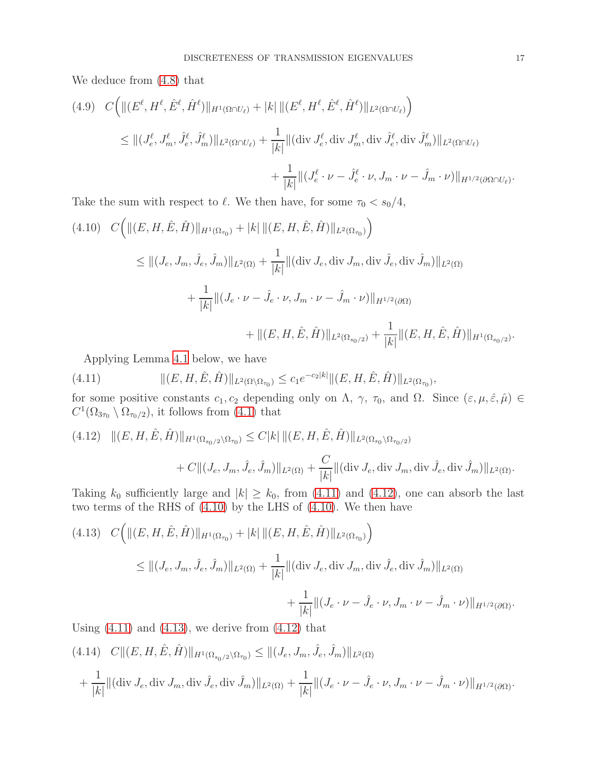We deduce from [\(4.8\)](#page-15-0) that

$$
(4.9) \quad C \Big( \| (E^{\ell}, H^{\ell}, \hat{E}^{\ell}, \hat{H}^{\ell}) \|_{H^1(\Omega \cap U_{\ell})} + |k| \| (E^{\ell}, H^{\ell}, \hat{E}^{\ell}, \hat{H}^{\ell}) \|_{L^2(\Omega \cap U_{\ell})} \Big)
$$
  
\n
$$
\leq \| (J^{\ell}_{e}, J^{\ell}_{m}, \hat{J}^{\ell}_{e}, \hat{J}^{\ell}_{m}) \|_{L^2(\Omega \cap U_{\ell})} + \frac{1}{|k|} \| (\operatorname{div} J^{\ell}_{e}, \operatorname{div} J^{\ell}_{m}, \operatorname{div} \hat{J}^{\ell}_{e}, \operatorname{div} \hat{J}^{\ell}_{m}) \|_{L^2(\Omega \cap U_{\ell})} \Big)
$$
  
\n
$$
+ \frac{1}{|k|} \| (J^{\ell}_{e} \cdot \nu - \hat{J}^{\ell}_{e} \cdot \nu, J_{m} \cdot \nu - \hat{J}_{m} \cdot \nu) \|_{H^{1/2}(\partial \Omega \cap U_{\ell})}.
$$

Take the sum with respect to  $\ell$ . We then have, for some  $\tau_0 < s_0/4$ ,

<span id="page-16-2"></span>
$$
(4.10) \quad C \Big( \| (E, H, \hat{E}, \hat{H}) \|_{H^1(\Omega_{\tau_0})} + |k| \| (E, H, \hat{E}, \hat{H}) \|_{L^2(\Omega_{\tau_0})} \Big)
$$
  
\n
$$
\leq \| (J_e, J_m, \hat{J}_e, \hat{J}_m) \|_{L^2(\Omega)} + \frac{1}{|k|} \| (\text{div } J_e, \text{div } J_m, \text{div } \hat{J}_e, \text{div } \hat{J}_m) \|_{L^2(\Omega)}
$$
  
\n
$$
+ \frac{1}{|k|} \| (J_e \cdot \nu - \hat{J}_e \cdot \nu, J_m \cdot \nu - \hat{J}_m \cdot \nu) \|_{H^{1/2}(\partial \Omega)}
$$
  
\n
$$
+ \| (E, H, \hat{E}, \hat{H}) \|_{L^2(\Omega_{s_0/2})} + \frac{1}{|k|} \| (E, H, \hat{E}, \hat{H}) \|_{H^1(\Omega_{s_0/2})}.
$$

<span id="page-16-0"></span>Applying Lemma [4.1](#page-17-0) below, we have

(4.11) 
$$
\| (E, H, \hat{E}, \hat{H}) \|_{L^2(\Omega \setminus \Omega_{\tau_0})} \leq c_1 e^{-c_2 |k|} \| (E, H, \hat{E}, \hat{H}) \|_{L^2(\Omega_{\tau_0})},
$$

for some positive constants  $c_1, c_2$  depending only on  $\Lambda$ ,  $\gamma$ ,  $\tau_0$ , and  $\Omega$ . Since  $(\varepsilon, \mu, \hat{\varepsilon}, \hat{\mu}) \in$  $C^1(\Omega_{3\tau_0} \setminus \Omega_{\tau_0/2})$ , it follows from [\(4.1\)](#page-14-1) that

<span id="page-16-1"></span>
$$
(4.12) \quad ||(E, H, \hat{E}, \hat{H})||_{H^1(\Omega_{s_0/2} \setminus \Omega_{\tau_0})} \le C|k| \, ||(E, H, \hat{E}, \hat{H})||_{L^2(\Omega_{s_0} \setminus \Omega_{\tau_0/2})} + C||(J_e, J_m, \hat{J}_e, \hat{J}_m)||_{L^2(\Omega)} + \frac{C}{|k|} ||(\text{div } J_e, \text{div } J_m, \text{div } \hat{J}_e, \text{div } \hat{J}_m)||_{L^2(\Omega)}.
$$

Taking  $k_0$  sufficiently large and  $|k| \geq k_0$ , from [\(4.11\)](#page-16-0) and [\(4.12\)](#page-16-1), one can absorb the last two terms of the RHS of [\(4.10\)](#page-16-2) by the LHS of [\(4.10\)](#page-16-2). We then have

<span id="page-16-3"></span>
$$
(4.13) \quad C \Big( \| (E, H, \hat{E}, \hat{H}) \|_{H^1(\Omega_{\tau_0})} + |k| \| (E, H, \hat{E}, \hat{H}) \|_{L^2(\Omega_{\tau_0})} \Big)
$$
  

$$
\leq \| (J_e, J_m, \hat{J}_e, \hat{J}_m) \|_{L^2(\Omega)} + \frac{1}{|k|} \| (\text{div } J_e, \text{div } J_m, \text{div } \hat{J}_e, \text{div } \hat{J}_m) \|_{L^2(\Omega)}
$$
  

$$
+ \frac{1}{|k|} \| (J_e \cdot \nu - \hat{J}_e \cdot \nu, J_m \cdot \nu - \hat{J}_m \cdot \nu) \|_{H^{1/2}(\partial \Omega)}.
$$

Using  $(4.11)$  and  $(4.13)$ , we derive from  $(4.12)$  that

<span id="page-16-4"></span>
$$
(4.14) \quad C \|(E, H, \hat{E}, \hat{H})\|_{H^1(\Omega_{s_0/2} \setminus \Omega_{\tau_0})} \le \| (J_e, J_m, \hat{J}_e, \hat{J}_m) \|_{L^2(\Omega)}
$$
  
+ 
$$
\frac{1}{|k|} \| (\text{div } J_e, \text{div } J_m, \text{div } \hat{J}_e, \text{div } \hat{J}_m) \|_{L^2(\Omega)} + \frac{1}{|k|} \| (J_e \cdot \nu - \hat{J}_e \cdot \nu, J_m \cdot \nu - \hat{J}_m \cdot \nu) \|_{H^{1/2}(\partial \Omega)}.
$$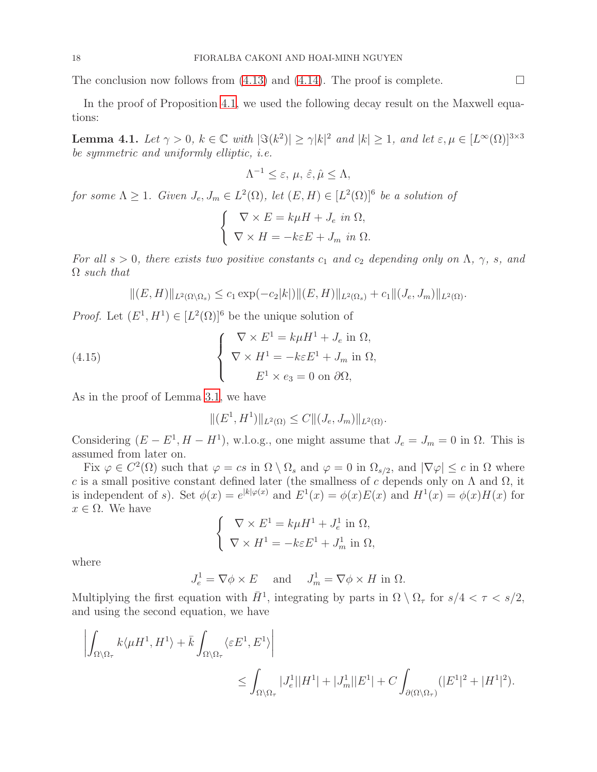The conclusion now follows from [\(4.13\)](#page-16-3) and [\(4.14\)](#page-16-4). The proof is complete.  $\Box$ 

In the proof of Proposition [4.1](#page-14-2), we used the following decay result on the Maxwell equations:

<span id="page-17-0"></span>**Lemma 4.1.** Let  $\gamma > 0$ ,  $k \in \mathbb{C}$  with  $|\Im(k^2)| \ge \gamma |k|^2$  and  $|k| \ge 1$ , and let  $\varepsilon, \mu \in [L^{\infty}(\Omega)]^{3 \times 3}$ be symmetric and uniformly elliptic, i.e.

$$
\Lambda^{-1} \le \varepsilon, \, \mu, \, \hat{\varepsilon}, \hat{\mu} \le \Lambda,
$$

for some  $\Lambda \geq 1$ . Given  $J_e, J_m \in L^2(\Omega)$ , let  $(E, H) \in [L^2(\Omega)]^6$  be a solution of

$$
\begin{cases} \nabla \times E = k\mu H + J_e \text{ in } \Omega, \\ \nabla \times H = -k\varepsilon E + J_m \text{ in } \Omega. \n\end{cases}
$$

For all  $s > 0$ , there exists two positive constants  $c_1$  and  $c_2$  depending only on  $\Lambda$ ,  $\gamma$ , s, and  $\Omega$  such that

$$
||(E, H)||_{L^{2}(\Omega \setminus \Omega_{s})} \leq c_{1} \exp(-c_{2}|k|)||(E, H)||_{L^{2}(\Omega_{s})} + c_{1}||(J_{e}, J_{m})||_{L^{2}(\Omega)}.
$$

*Proof.* Let  $(E^1, H^1) \in [L^2(\Omega)]^6$  be the unique solution of

(4.15) 
$$
\begin{cases} \nabla \times E^1 = k\mu H^1 + J_e \text{ in } \Omega, \\ \nabla \times H^1 = -k\varepsilon E^1 + J_m \text{ in } \Omega, \\ E^1 \times e_3 = 0 \text{ on } \partial \Omega, \end{cases}
$$

As in the proof of Lemma [3.1](#page-5-5), we have

<span id="page-17-1"></span>
$$
||(E^1, H^1)||_{L^2(\Omega)} \leq C||(J_e, J_m)||_{L^2(\Omega)}.
$$

Considering  $(E - E^1, H - H^1)$ , w.l.o.g., one might assume that  $J_e = J_m = 0$  in  $\Omega$ . This is assumed from later on.

Fix  $\varphi \in C^2(\Omega)$  such that  $\varphi = cs$  in  $\Omega \setminus \Omega_s$  and  $\varphi = 0$  in  $\Omega_{s/2}$ , and  $|\nabla \varphi| \leq c$  in  $\Omega$  where c is a small positive constant defined later (the smallness of c depends only on  $\Lambda$  and  $\Omega$ , it is independent of s). Set  $\phi(x) = e^{|k|\varphi(x)}$  and  $E^1(x) = \phi(x)E(x)$  and  $H^1(x) = \phi(x)H(x)$  for  $x \in \Omega$ . We have

$$
\begin{cases} \nabla \times E^1 = k\mu H^1 + J_e^1 \text{ in } \Omega, \\ \nabla \times H^1 = -k\varepsilon E^1 + J_m^1 \text{ in } \Omega, \end{cases}
$$

where

 $J_e^1 = \nabla \phi \times E$  and  $J_m^1 = \nabla \phi \times H$  in  $\Omega$ .

Multiplying the first equation with  $\bar{H}^1$ , integrating by parts in  $\Omega \setminus \Omega_\tau$  for  $s/4 < \tau < s/2$ , and using the second equation, we have

$$
\left| \int_{\Omega \setminus \Omega_{\tau}} k \langle \mu H^1, H^1 \rangle + \bar{k} \int_{\Omega \setminus \Omega_{\tau}} \langle \varepsilon E^1, E^1 \rangle \right|
$$
  
 
$$
\leq \int_{\Omega \setminus \Omega_{\tau}} |J_e^1| |H^1| + |J_m^1| |E^1| + C \int_{\partial(\Omega \setminus \Omega_{\tau})} (|E^1|^2 + |H^1|^2).
$$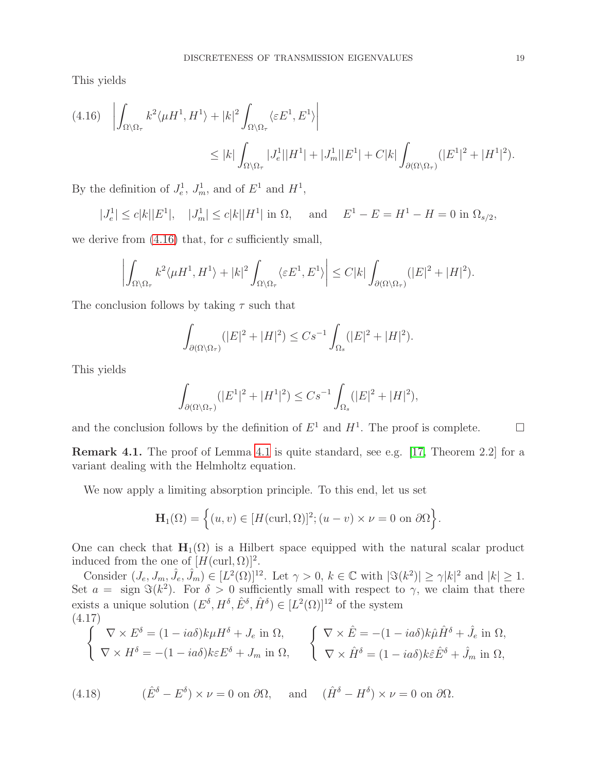This yields

<span id="page-18-0"></span>
$$
(4.16)\quad \left| \int_{\Omega \setminus \Omega_{\tau}} k^2 \langle \mu H^1, H^1 \rangle + |k|^2 \int_{\Omega \setminus \Omega_{\tau}} \langle \varepsilon E^1, E^1 \rangle \right|
$$
  

$$
\leq |k| \int_{\Omega \setminus \Omega_{\tau}} |J_e^1| |H^1| + |J_m^1| |E^1| + C|k| \int_{\partial(\Omega \setminus \Omega_{\tau})} (|E^1|^2 + |H^1|^2).
$$

By the definition of  $J_e^1$ ,  $J_m^1$ , and of  $E^1$  and  $H^1$ ,

$$
|J_e^1| \le c|k||E^1|, \quad |J_m^1| \le c|k||H^1| \text{ in } \Omega, \quad \text{ and } \quad E^1 - E = H^1 - H = 0 \text{ in } \Omega_{s/2},
$$

we derive from  $(4.16)$  that, for c sufficiently small,

$$
\left| \int_{\Omega \setminus \Omega_{\tau}} k^2 \langle \mu H^1, H^1 \rangle + |k|^2 \int_{\Omega \setminus \Omega_{\tau}} \langle \varepsilon E^1, E^1 \rangle \right| \leq C |k| \int_{\partial(\Omega \setminus \Omega_{\tau})} (|E|^2 + |H|^2).
$$

The conclusion follows by taking  $\tau$  such that

$$
\int_{\partial(\Omega \setminus \Omega_{\tau})} (|E|^2 + |H|^2) \le Cs^{-1} \int_{\Omega_s} (|E|^2 + |H|^2).
$$

This yields

$$
\int_{\partial(\Omega \setminus \Omega_{\tau})} (|E^1|^2 + |H^1|^2) \leq Cs^{-1} \int_{\Omega_s} (|E|^2 + |H|^2),
$$

and the conclusion follows by the definition of  $E^1$  and  $H^1$ . The proof is complete.  $\Box$ 

Remark 4.1. The proof of Lemma [4.1](#page-17-0) is quite standard, see e.g. [\[17,](#page-22-19) Theorem 2.2] for a variant dealing with the Helmholtz equation.

We now apply a limiting absorption principle. To this end, let us set

$$
\mathbf{H}_1(\Omega) = \left\{ (u, v) \in [H(\text{curl}, \Omega)]^2; (u - v) \times \nu = 0 \text{ on } \partial\Omega \right\}.
$$

One can check that  $H_1(\Omega)$  is a Hilbert space equipped with the natural scalar product induced from the one of  $[H(\text{curl}, \Omega)]^2$ .

Consider  $(J_e, J_m, \hat{J}_e, \hat{J}_m) \in [L^2(\Omega)]^{12}$ . Let  $\gamma > 0$ ,  $k \in \mathbb{C}$  with  $|\Im(k^2)| \ge \gamma |k|^2$  and  $|k| \ge 1$ . Set  $a = \text{sign } \Im(k^2)$ . For  $\delta > 0$  sufficiently small with respect to  $\gamma$ , we claim that there exists a unique solution  $(E^{\delta}, H^{\delta}, \hat{E}^{\delta}, \hat{H}^{\delta}) \in [L^2(\Omega)]^{12}$  of the system (4.17)

<span id="page-18-1"></span>
$$
\begin{cases}\n\nabla \times E^{\delta} = (1 - ia\delta)k\mu H^{\delta} + J_{e} \text{ in } \Omega, \\
\nabla \times H^{\delta} = -(1 - ia\delta)k\varepsilon E^{\delta} + J_{m} \text{ in } \Omega,\n\end{cases}\n\qquad\n\begin{cases}\n\nabla \times \hat{E} = -(1 - ia\delta)k\hat{\mu}\hat{H}^{\delta} + \hat{J}_{e} \text{ in } \Omega, \\
\nabla \times \hat{H}^{\delta} = (1 - ia\delta)k\varepsilon \hat{E}^{\delta} + \hat{J}_{m} \text{ in } \Omega,\n\end{cases}
$$

<span id="page-18-2"></span>(4.18) 
$$
(\hat{E}^{\delta} - E^{\delta}) \times \nu = 0 \text{ on } \partial\Omega, \text{ and } (\hat{H}^{\delta} - H^{\delta}) \times \nu = 0 \text{ on } \partial\Omega.
$$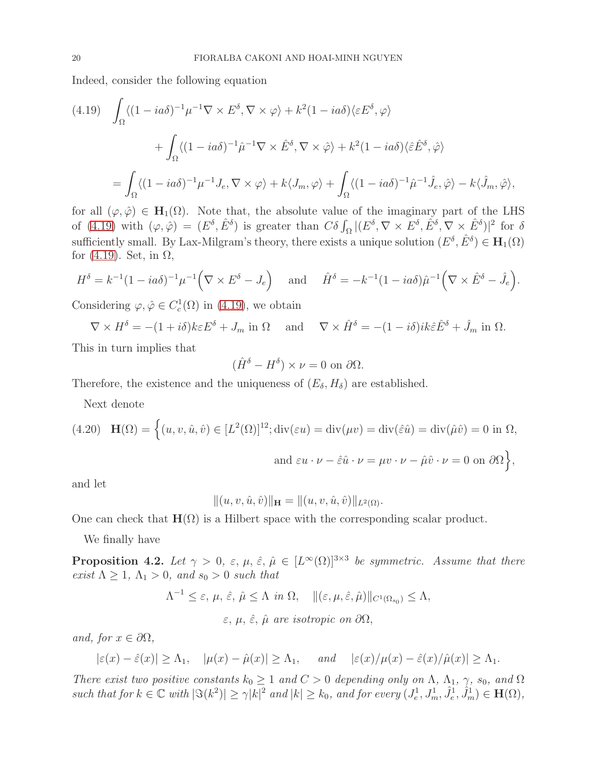Indeed, consider the following equation

<span id="page-19-1"></span>
$$
(4.19) \quad \int_{\Omega} \langle (1 - ia\delta)^{-1} \mu^{-1} \nabla \times E^{\delta}, \nabla \times \varphi \rangle + k^{2} (1 - ia\delta) \langle \varepsilon E^{\delta}, \varphi \rangle
$$

$$
+ \int_{\Omega} \langle (1 - ia\delta)^{-1} \hat{\mu}^{-1} \nabla \times \hat{E}^{\delta}, \nabla \times \hat{\varphi} \rangle + k^{2} (1 - ia\delta) \langle \hat{\varepsilon} \hat{E}^{\delta}, \hat{\varphi} \rangle
$$

$$
= \int_{\Omega} \langle (1 - ia\delta)^{-1} \mu^{-1} J_{e}, \nabla \times \varphi \rangle + k \langle J_{m}, \varphi \rangle + \int_{\Omega} \langle (1 - ia\delta)^{-1} \hat{\mu}^{-1} \hat{J}_{e}, \hat{\varphi} \rangle - k \langle \hat{J}_{m}, \hat{\varphi} \rangle,
$$

for all  $(\varphi, \hat{\varphi}) \in H_1(\Omega)$ . Note that, the absolute value of the imaginary part of the LHS of [\(4.19\)](#page-19-1) with  $(\varphi, \hat{\varphi}) = (E^{\delta}, \hat{E}^{\delta})$  is greater than  $C\delta \int_{\Omega} |(E^{\delta}, \nabla \times E^{\delta}, \hat{E}^{\delta}, \nabla \times \hat{E}^{\delta})|^2$  for  $\delta$ sufficiently small. By Lax-Milgram's theory, there exists a unique solution  $(E^{\delta}, \hat{E}^{\delta}) \in \mathbf{H}_{1}(\Omega)$ for  $(4.19)$ . Set, in  $\Omega$ ,

$$
H^{\delta} = k^{-1} (1 - i a \delta)^{-1} \mu^{-1} \Big( \nabla \times E^{\delta} - J_e \Big) \quad \text{and} \quad \hat{H}^{\delta} = -k^{-1} (1 - i a \delta) \hat{\mu}^{-1} \Big( \nabla \times \hat{E}^{\delta} - \hat{J}_e \Big).
$$

Considering  $\varphi, \hat{\varphi} \in C_c^1(\Omega)$  in [\(4.19\)](#page-19-1), we obtain

 $\nabla \times H^{\delta} = -(1 + i\delta)k\varepsilon E^{\delta} + J_m$  in  $\Omega$  and  $\nabla \times \hat{H}^{\delta} = -(1 - i\delta)ik\varepsilon \hat{E}^{\delta} + \hat{J}_m$  in  $\Omega$ .

This in turn implies that

$$
(\hat{H}^{\delta} - H^{\delta}) \times \nu = 0 \text{ on } \partial\Omega.
$$

Therefore, the existence and the uniqueness of  $(E_{\delta}, H_{\delta})$  are established.

Next denote

<span id="page-19-0"></span>(4.20) 
$$
\mathbf{H}(\Omega) = \left\{ (u, v, \hat{u}, \hat{v}) \in [L^2(\Omega)]^{12}; \text{div}(\varepsilon u) = \text{div}(\mu v) = \text{div}(\hat{\varepsilon}\hat{u}) = \text{div}(\hat{\mu}\hat{v}) = 0 \text{ in } \Omega, \text{ and } \varepsilon u \cdot \nu - \hat{\varepsilon}\hat{u} \cdot \nu = \mu v \cdot \nu - \hat{\mu}\hat{v} \cdot \nu = 0 \text{ on } \partial\Omega \right\},\
$$

and let

$$
|| (u, v, \hat{u}, \hat{v}) ||_{\mathbf{H}} = || (u, v, \hat{u}, \hat{v}) ||_{L^{2}(\Omega)}.
$$

One can check that  $\mathbf{H}(\Omega)$  is a Hilbert space with the corresponding scalar product.

We finally have

<span id="page-19-2"></span>**Proposition 4.2.** Let  $\gamma > 0$ ,  $\varepsilon, \mu, \hat{\varepsilon}, \hat{\mu} \in [L^{\infty}(\Omega)]^{3 \times 3}$  be symmetric. Assume that there exist  $\Lambda \geq 1$ ,  $\Lambda_1 > 0$ , and  $s_0 > 0$  such that

$$
\Lambda^{-1} \leq \varepsilon, \, \mu, \, \hat{\varepsilon}, \, \hat{\mu} \leq \Lambda \, \, \text{in } \Omega, \quad \|(\varepsilon, \mu, \hat{\varepsilon}, \hat{\mu})\|_{C^1(\Omega_{s_0})} \leq \Lambda,
$$

 $\varepsilon$ ,  $\mu$ ,  $\hat{\varepsilon}$ ,  $\hat{\mu}$  are isotropic on  $\partial\Omega$ ,

and, for  $x \in \partial\Omega$ ,

$$
|\varepsilon(x)-\hat{\varepsilon}(x)| \ge \Lambda_1
$$
,  $|\mu(x)-\hat{\mu}(x)| \ge \Lambda_1$ , and  $|\varepsilon(x)/\mu(x)-\hat{\varepsilon}(x)/\hat{\mu}(x)| \ge \Lambda_1$ .

There exist two positive constants  $k_0 \geq 1$  and  $C > 0$  depending only on  $\Lambda$ ,  $\Lambda_1$ ,  $\gamma$ ,  $s_0$ , and  $\Omega$ such that for  $k \in \mathbb{C}$  with  $|\Im(k^2)| \geq \gamma |k|^2$  and  $|k| \geq k_0$ , and for every  $(J_e^1, J_m^1, \hat{J}_e^1, \hat{J}_m^1) \in \mathbf{H}(\Omega)$ ,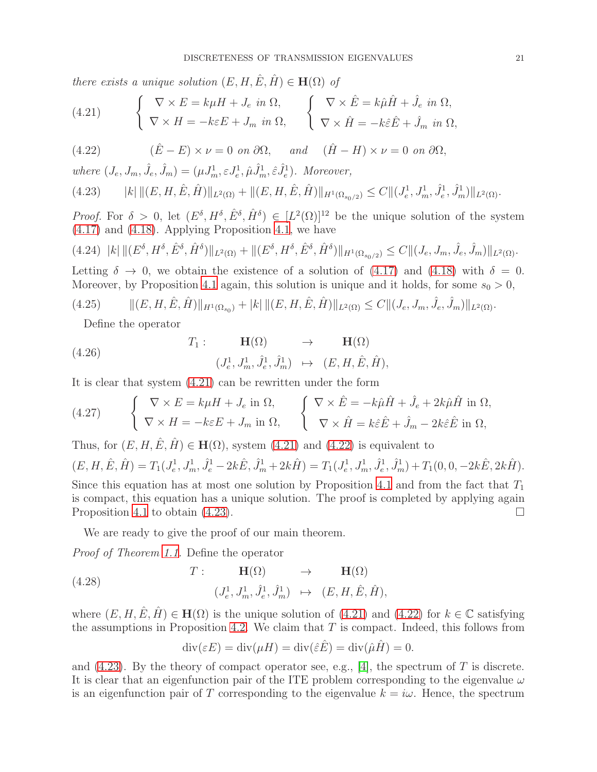there exists a unique solution  $(E, H, \hat{E}, \hat{H}) \in \mathbf{H}(\Omega)$  of

<span id="page-20-0"></span>(4.21) 
$$
\begin{cases} \nabla \times E = k\mu H + J_e \text{ in } \Omega, \\ \nabla \times H = -k\varepsilon E + J_m \text{ in } \Omega, \n\end{cases} \n\begin{cases} \nabla \times \hat{E} = k\hat{\mu}\hat{H} + \hat{J}_e \text{ in } \Omega, \\ \nabla \times \hat{H} = -k\hat{\varepsilon}\hat{E} + \hat{J}_m \text{ in } \Omega, \n\end{cases}
$$

<span id="page-20-1"></span>(4.22)  $(\hat{E} - E) \times \nu = 0$  on  $\partial \Omega$ , and  $(\hat{H} - H) \times \nu = 0$  on  $\partial \Omega$ ,

where  $(J_e, J_m, \hat{J}_e, \hat{J}_m) = (\mu J_m^1, \varepsilon J_e^1, \hat{\mu} \hat{J}_m^1, \hat{\varepsilon} \hat{J}_e^1)$ . Moreover,

<span id="page-20-2"></span>
$$
(4.23) \t\t |k| \|(E, H, \hat{E}, \hat{H})\|_{L^2(\Omega)} + \|(E, H, \hat{E}, \hat{H})\|_{H^1(\Omega_{s_0/2})} \le C \|(J_e^1, J_m^1, \hat{J}_e^1, \hat{J}_m^1)\|_{L^2(\Omega)}.
$$

*Proof.* For  $\delta > 0$ , let  $(E^{\delta}, H^{\delta}, E^{\delta}, \hat{H}^{\delta}) \in [L^2(\Omega)]^{12}$  be the unique solution of the system [\(4.17\)](#page-18-1) and [\(4.18\)](#page-18-2). Applying Proposition [4.1](#page-14-2), we have

$$
(4.24) \ \ |k| \|(E^{\delta}, H^{\delta}, \hat{E}^{\delta}, \hat{H}^{\delta})\|_{L^{2}(\Omega)} + \|(E^{\delta}, H^{\delta}, \hat{E}^{\delta}, \hat{H}^{\delta})\|_{H^{1}(\Omega_{s_{0}/2})} \leq C \|(J_{e}, J_{m}, \hat{J}_{e}, \hat{J}_{m})\|_{L^{2}(\Omega)}.
$$

Letting  $\delta \to 0$ , we obtain the existence of a solution of [\(4.17\)](#page-18-1) and [\(4.18\)](#page-18-2) with  $\delta = 0$ . Moreover, by Proposition [4.1](#page-14-2) again, this solution is unique and it holds, for some  $s_0 > 0$ ,

$$
(4.25) \qquad \|(E, H, \hat{E}, \hat{H})\|_{H^1(\Omega_{s_0})} + |k| \|(E, H, \hat{E}, \hat{H})\|_{L^2(\Omega)} \le C \|(J_e, J_m, \hat{J}_e, \hat{J}_m)\|_{L^2(\Omega)}.
$$

Define the operator

(4.26) 
$$
T_1: \qquad \mathbf{H}(\Omega) \qquad \rightarrow \qquad \mathbf{H}(\Omega) (J_e^1, J_m^1, \hat{J}_e^1, \hat{J}_m^1) \qquad \mapsto \qquad (E, H, \hat{E}, \hat{H}),
$$

It is clear that system [\(4.21\)](#page-20-0) can be rewritten under the form

(4.27) 
$$
\begin{cases} \nabla \times E = k\mu H + J_e \text{ in } \Omega, \\ \nabla \times H = -k\varepsilon E + J_m \text{ in } \Omega, \n\end{cases} \n\begin{cases} \nabla \times \hat{E} = -k\hat{\mu}\hat{H} + \hat{J}_e + 2k\hat{\mu}\hat{H} \text{ in } \Omega, \\ \nabla \times \hat{H} = k\hat{\varepsilon}\hat{E} + \hat{J}_m - 2k\hat{\varepsilon}\hat{E} \text{ in } \Omega, \n\end{cases}
$$

Thus, for  $(E, H, \hat{E}, \hat{H}) \in \mathbf{H}(\Omega)$ , system [\(4.21\)](#page-20-0) and [\(4.22\)](#page-20-1) is equivalent to  $(E, H, \hat{E}, \hat{H}) = T_1(J_e^1, J_m^1, \hat{J}_e^1 - 2k\hat{E}, \hat{J}_m^1 + 2k\hat{H}) = T_1(J_e^1, J_m^1, \hat{J}_e^1, \hat{J}_m^1) + T_1(0, 0, -2k\hat{E}, 2k\hat{H}).$ 

Since this equation has at most one solution by Proposition [4.1](#page-14-2) and from the fact that  $T_1$ is compact, this equation has a unique solution. The proof is completed by applying again Proposition [4.1](#page-14-2) to obtain  $(4.23)$ .

We are ready to give the proof of our main theorem.

Proof of Theorem [1.1](#page-1-0). Define the operator

(4.28) 
$$
T: \mathbf{H}(\Omega) \rightarrow \mathbf{H}(\Omega)
$$

$$
(J_e^1, J_m^1, \hat{J}_e^1, \hat{J}_m^1) \rightarrow (E, H, \hat{E}, \hat{H}),
$$

where  $(E, H, \hat{E}, \hat{H}) \in \mathbf{H}(\Omega)$  is the unique solution of [\(4.21\)](#page-20-0) and [\(4.22\)](#page-20-1) for  $k \in \mathbb{C}$  satisfying the assumptions in Proposition [4.2.](#page-19-2) We claim that  $T$  is compact. Indeed, this follows from

$$
\operatorname{div}(\varepsilon E) = \operatorname{div}(\mu H) = \operatorname{div}(\hat{\varepsilon}\hat{E}) = \operatorname{div}(\hat{\mu}\hat{H}) = 0.
$$

and  $(4.23)$ . By the theory of compact operator see, e.g., [\[4\]](#page-21-13), the spectrum of T is discrete. It is clear that an eigenfunction pair of the ITE problem corresponding to the eigenvalue  $\omega$ is an eigenfunction pair of T corresponding to the eigenvalue  $k = i\omega$ . Hence, the spectrum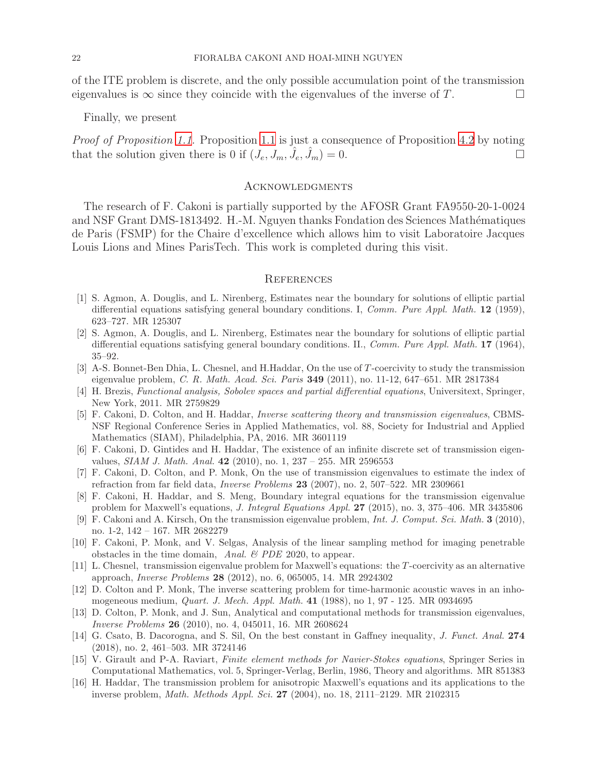of the ITE problem is discrete, and the only possible accumulation point of the transmission eigenvalues is  $\infty$  since they coincide with the eigenvalues of the inverse of T.

Finally, we present

Proof of Proposition [1.1.](#page-1-4) Proposition [1.1](#page-1-4) is just a consequence of Proposition [4.2](#page-19-2) by noting that the solution given there is 0 if  $(J_e, J_m, \hat{J}_e, \hat{J}_m) = 0$ .

#### **ACKNOWLEDGMENTS**

The research of F. Cakoni is partially supported by the AFOSR Grant FA9550-20-1-0024 and NSF Grant DMS-1813492. H.-M. Nguyen thanks Fondation des Sciences Mathématiques de Paris (FSMP) for the Chaire d'excellence which allows him to visit Laboratoire Jacques Louis Lions and Mines ParisTech. This work is completed during this visit.

### **REFERENCES**

- <span id="page-21-9"></span>[1] S. Agmon, A. Douglis, and L. Nirenberg, Estimates near the boundary for solutions of elliptic partial differential equations satisfying general boundary conditions. I, Comm. Pure Appl. Math. 12 (1959), 623–727. MR 125307
- <span id="page-21-10"></span>[2] S. Agmon, A. Douglis, and L. Nirenberg, Estimates near the boundary for solutions of elliptic partial differential equations satisfying general boundary conditions. II., Comm. Pure Appl. Math. 17 (1964), 35–92.
- <span id="page-21-3"></span>[3] A-S. Bonnet-Ben Dhia, L. Chesnel, and H.Haddar, On the use of T-coercivity to study the transmission eigenvalue problem, C. R. Math. Acad. Sci. Paris 349 (2011), no. 11-12, 647–651. MR 2817384
- <span id="page-21-13"></span>[4] H. Brezis, Functional analysis, Sobolev spaces and partial differential equations, Universitext, Springer, New York, 2011. MR 2759829
- <span id="page-21-1"></span>[5] F. Cakoni, D. Colton, and H. Haddar, Inverse scattering theory and transmission eigenvalues, CBMS-NSF Regional Conference Series in Applied Mathematics, vol. 88, Society for Industrial and Applied Mathematics (SIAM), Philadelphia, PA, 2016. MR 3601119
- <span id="page-21-4"></span>[6] F. Cakoni, D. Gintides and H. Haddar, The existence of an infinite discrete set of transmission eigenvalues, *SIAM J. Math. Anal.* 42 (2010), no. 1, 237 - 255. MR 2596553
- [7] F. Cakoni, D. Colton, and P. Monk, On the use of transmission eigenvalues to estimate the index of refraction from far field data, Inverse Problems 23 (2007), no. 2, 507–522. MR 2309661
- <span id="page-21-8"></span>[8] F. Cakoni, H. Haddar, and S. Meng, Boundary integral equations for the transmission eigenvalue problem for Maxwell's equations, J. Integral Equations Appl. 27 (2015), no. 3, 375–406. MR 3435806
- <span id="page-21-5"></span>[9] F. Cakoni and A. Kirsch, On the transmission eigenvalue problem, Int. J. Comput. Sci. Math. 3 (2010), no. 1-2, 142 – 167. MR 2682279
- <span id="page-21-2"></span>[10] F. Cakoni, P. Monk, and V. Selgas, Analysis of the linear sampling method for imaging penetrable obstacles in the time domain, Anal.  $\mathscr B$  PDE 2020, to appear.
- <span id="page-21-7"></span>[11] L. Chesnel, transmission eigenvalue problem for Maxwell's equations: the T -coercivity as an alternative approach, Inverse Problems 28 (2012), no. 6, 065005, 14. MR 2924302
- <span id="page-21-0"></span>[12] D. Colton and P. Monk, The inverse scattering problem for time-harmonic acoustic waves in an inhomogeneous medium, Quart. J. Mech. Appl. Math. 41 (1988), no 1, 97 - 125. MR 0934695
- [13] D. Colton, P. Monk, and J. Sun, Analytical and computational methods for transmission eigenvalues, Inverse Problems 26 (2010), no. 4, 045011, 16. MR 2608624
- <span id="page-21-12"></span>[14] G. Csato, B. Dacorogna, and S. Sil, On the best constant in Gaffney inequality, J. Funct. Anal. 274 (2018), no. 2, 461–503. MR 3724146
- <span id="page-21-11"></span>[15] V. Girault and P-A. Raviart, Finite element methods for Navier-Stokes equations, Springer Series in Computational Mathematics, vol. 5, Springer-Verlag, Berlin, 1986, Theory and algorithms. MR 851383
- <span id="page-21-6"></span>[16] H. Haddar, The transmission problem for anisotropic Maxwell's equations and its applications to the inverse problem, Math. Methods Appl. Sci. 27 (2004), no. 18, 2111–2129. MR 2102315